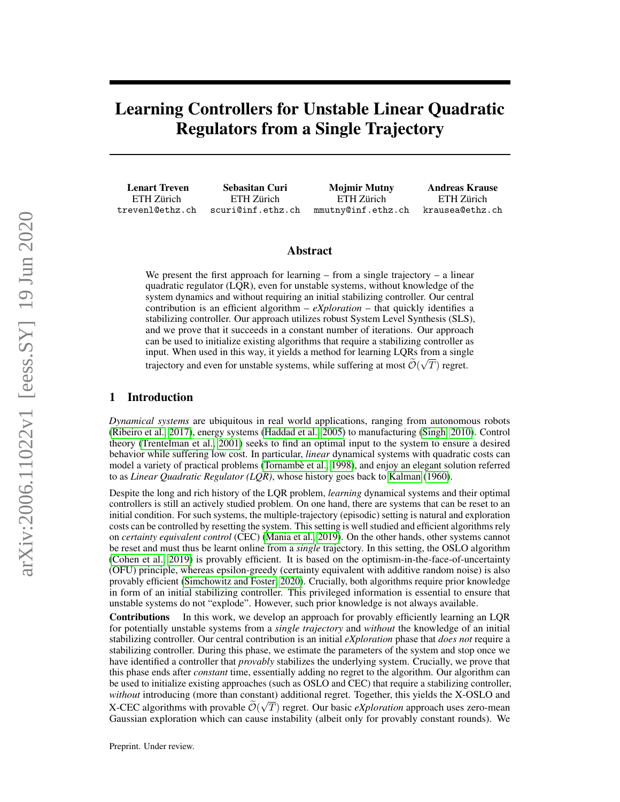# Learning Controllers for Unstable Linear Quadratic Regulators from a Single Trajectory

Lenart Treven ETH Zürich trevenl@ethz.ch

Sebasitan Curi ETH Zürich scuri@inf.ethz.ch

Mojmir Mutny ETH Zürich mmutny@inf.ethz.ch

Andreas Krause ETH Zürich krausea@ethz.ch

# Abstract

We present the first approach for learning – from a single trajectory – a linear quadratic regulator (LQR), even for unstable systems, without knowledge of the system dynamics and without requiring an initial stabilizing controller. Our central contribution is an efficient algorithm –  $eX$ *ploration* – that quickly identifies a stabilizing controller. Our approach utilizes robust System Level Synthesis (SLS), and we prove that it succeeds in a constant number of iterations. Our approach can be used to initialize existing algorithms that require a stabilizing controller as input. When used in this way, it yields a method for learning LQRs from a single trajectory and even for unstable systems, while suffering at most  $\mathcal{O}(\sqrt{T})$  regret.

# 1 Introduction

*Dynamical systems* are ubiquitous in real world applications, ranging from autonomous robots [\(Ribeiro et al., 2017\)](#page-9-0), energy systems [\(Haddad et al., 2005\)](#page-8-0) to manufacturing [\(Singh, 2010\)](#page-9-1). Control theory [\(Trentelman et al., 2001\)](#page-9-2) seeks to find an optimal input to the system to ensure a desired behavior while suffering low cost. In particular, *linear* dynamical systems with quadratic costs can model a variety of practical problems [\(Tornambè et al., 1998\)](#page-9-3), and enjoy an elegant solution referred to as *Linear Quadratic Regulator (LQR)*, whose history goes back to [Kalman](#page-8-1) [\(1960\)](#page-8-1).

Despite the long and rich history of the LQR problem, *learning* dynamical systems and their optimal controllers is still an actively studied problem. On one hand, there are systems that can be reset to an initial condition. For such systems, the multiple-trajectory (episodic) setting is natural and exploration costs can be controlled by resetting the system. This setting is well studied and efficient algorithms rely on *certainty equivalent control* (CEC) [\(Mania et al., 2019\)](#page-8-2). On the other hands, other systems cannot be reset and must thus be learnt online from a *single* trajectory. In this setting, the OSLO algorithm [\(Cohen et al., 2019\)](#page-8-3) is provably efficient. It is based on the optimism-in-the-face-of-uncertainty (OFU) principle, whereas epsilon-greedy (certainty equivalent with additive random noise) is also provably efficient [\(Simchowitz and Foster, 2020\)](#page-9-4). Crucially, both algorithms require prior knowledge in form of an initial stabilizing controller. This privileged information is essential to ensure that unstable systems do not "explode". However, such prior knowledge is not always available.

Contributions In this work, we develop an approach for provably efficiently learning an LQR for potentially unstable systems from a *single trajectory* and *without* the knowledge of an initial stabilizing controller. Our central contribution is an initial *eXploration* phase that *does not* require a stabilizing controller. During this phase, we estimate the parameters of the system and stop once we have identified a controller that *provably* stabilizes the underlying system. Crucially, we prove that this phase ends after *constant* time, essentially adding no regret to the algorithm. Our algorithm can be used to initialize existing approaches (such as OSLO and CEC) that require a stabilizing controller, *without* introducing (more than constant) additional regret. Together, this yields the X-OSLO and X-CEC algorithms with provable  $\mathcal{O}(\sqrt{T})$  regret. Our basic *eXploration* approach uses zero-mean Gaussian exploration which can cause instability (albeit only for provably constant rounds). We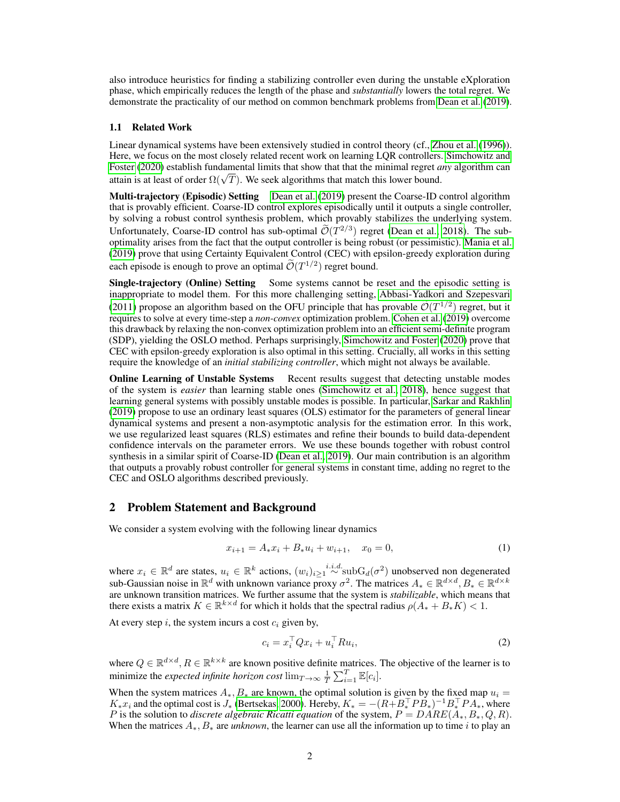also introduce heuristics for finding a stabilizing controller even during the unstable eXploration phase, which empirically reduces the length of the phase and *substantially* lowers the total regret. We demonstrate the practicality of our method on common benchmark problems from [Dean et al.](#page-8-4) [\(2019\)](#page-8-4).

#### 1.1 Related Work

Linear dynamical systems have been extensively studied in control theory (cf., [Zhou et al.](#page-9-5) [\(1996\)](#page-9-5)). Here, we focus on the most closely related recent work on learning LQR controllers. [Simchowitz and](#page-9-4) [Foster](#page-9-4) [\(2020\)](#page-9-4) establish fundamental limits that show that that the minimal regret *any* algorithm can Foster (2020) establish fundamental firmts that show that that the minimal regret *a* attain is at least of order  $\Omega(\sqrt{T})$ . We seek algorithms that match this lower bound.

Multi-trajectory (Episodic) Setting [Dean et al.](#page-8-4) [\(2019\)](#page-8-4) present the Coarse-ID control algorithm that is provably efficient. Coarse-ID control explores episodically until it outputs a single controller, by solving a robust control synthesis problem, which provably stabilizes the underlying system. Unfortunately, Coarse-ID control has sub-optimal  $\tilde{\mathcal{O}}(T^{2/3})$  regret [\(Dean et al., 2018\)](#page-8-5). The sub-<br>entimality exists from the feat that the submit extraller is heine related (a negativitie). Manie at al. optimality arises from the fact that the output controller is being robust (or pessimistic). [Mania et al.](#page-8-2) [\(2019\)](#page-8-2) prove that using Certainty Equivalent Control (CEC) with epsilon-greedy exploration during each episode is enough to prove an optimal  $\mathcal{O}(T^{1/2})$  regret bound.

Single-trajectory (Online) Setting Some systems cannot be reset and the episodic setting is inappropriate to model them. For this more challenging setting, [Abbasi-Yadkori and Szepesvari](#page-8-6) [\(2011\)](#page-8-6) propose an algorithm based on the OFU principle that has provable  $\tilde{\mathcal{O}}(T^{1/2})$  regret, but it requires to solve at every time-step a *non-convex* optimization problem. [Cohen et al.](#page-8-3) [\(2019\)](#page-8-3) overcome this drawback by relaxing the non-convex optimization problem into an efficient semi-definite program (SDP), yielding the OSLO method. Perhaps surprisingly, [Simchowitz and Foster](#page-9-4) [\(2020\)](#page-9-4) prove that CEC with epsilon-greedy exploration is also optimal in this setting. Crucially, all works in this setting require the knowledge of an *initial stabilizing controller*, which might not always be available.

**Online Learning of Unstable Systems** Recent results suggest that detecting unstable modes of the system is *easier* than learning stable ones [\(Simchowitz et al., 2018\)](#page-9-6), hence suggest that learning general systems with possibly unstable modes is possible. In particular, [Sarkar and Rakhlin](#page-9-7) [\(2019\)](#page-9-7) propose to use an ordinary least squares (OLS) estimator for the parameters of general linear dynamical systems and present a non-asymptotic analysis for the estimation error. In this work, we use regularized least squares (RLS) estimates and refine their bounds to build data-dependent confidence intervals on the parameter errors. We use these bounds together with robust control synthesis in a similar spirit of Coarse-ID [\(Dean et al., 2019\)](#page-8-4). Our main contribution is an algorithm that outputs a provably robust controller for general systems in constant time, adding no regret to the CEC and OSLO algorithms described previously.

### 2 Problem Statement and Background

We consider a system evolving with the following linear dynamics

$$
x_{i+1} = A_* x_i + B_* u_i + w_{i+1}, \quad x_0 = 0,
$$
\n<sup>(1)</sup>

where  $x_i \in \mathbb{R}^d$  are states,  $u_i \in \mathbb{R}^k$  actions,  $(w_i)_{i\geq 1} \stackrel{i.i.d.}{\sim} \text{subG}_d(\sigma^2)$  unobserved non degenerated sub-Gaussian noise in  $\mathbb{R}^d$  with unknown variance proxy  $\sigma^2$ . The matrices  $A_* \in \mathbb{R}^{d \times d}$ ,  $B_* \in \mathbb{R}^{d \times k}$ are unknown transition matrices. We further assume that the system is *stabilizable*, which means that there exists a matrix  $K \in \mathbb{R}^{k \times d}$  for which it holds that the spectral radius  $\rho(A_{*} + B_{*}K) < 1$ .

At every step  $i$ , the system incurs a cost  $c_i$  given by,

<span id="page-1-0"></span>
$$
c_i = x_i^\top Q x_i + u_i^\top R u_i,\tag{2}
$$

where  $Q \in \mathbb{R}^{d \times d}$ ,  $R \in \mathbb{R}^{k \times k}$  are known positive definite matrices. The objective of the learner is to minimize the *expected infinite horizon cost*  $\lim_{T \to \infty} \frac{1}{T} \sum_{i=1}^{T} \mathbb{E}[c_i]$ .

When the system matrices  $A_*, B_*$  are known, the optimal solution is given by the fixed map  $u_i =$  $K_*x_i$  and the optimal cost is  $J_*$  [\(Bertsekas, 2000\)](#page-8-7). Hereby,  $K_* = -(R + B_*^\top P B_*)^{-1} B_*^\top P A_*$ , where P is the solution to *discrete algebraic Ricatti equation* of the system,  $P = DARE(A_*, B_*, Q, R)$ . When the matrices  $A_{\ast}, B_{\ast}$  are *unknown*, the learner can use all the information up to time i to play an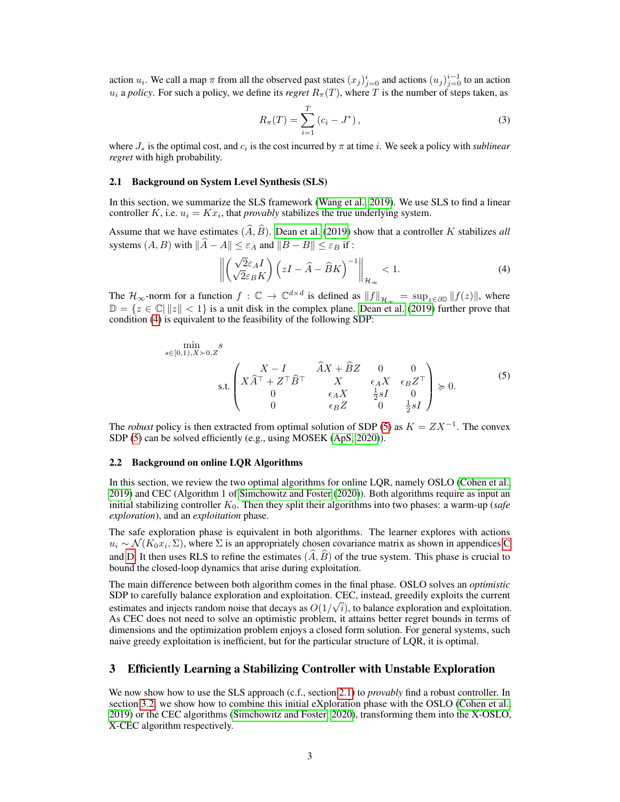action  $u_i$ . We call a map  $\pi$  from all the observed past states  $(x_j)_{j=0}^i$  and actions  $(u_j)_{j=0}^{i-1}$  to an action  $u_i$  a *policy*. For such a policy, we define its *regret*  $R_\pi(T)$ , where T is the number of steps taken, as

$$
R_{\pi}(T) = \sum_{i=1}^{T} (c_i - J^*), \qquad (3)
$$

where  $J_*$  is the optimal cost, and  $c_i$  is the cost incurred by  $\pi$  at time *i*. We seek a policy with *sublinear regret* with high probability.

#### <span id="page-2-2"></span>2.1 Background on System Level Synthesis (SLS)

In this section, we summarize the SLS framework [\(Wang et al., 2019\)](#page-9-8). We use SLS to find a linear controller  $K$ , i.e.  $u_i = Kx_i$ , that *provably* stabilizes the true underlying system.

Assume that we have estimates  $(\widehat{A}, \widehat{B})$ . [Dean et al.](#page-8-4) [\(2019\)](#page-8-4) show that a controller K stabilizes *all* systems  $(A, B)$  with  $\|\widehat{A} - A\| \leq \varepsilon_A$  and  $\|\widehat{B} - B\| \leq \varepsilon_B$  if :

<span id="page-2-0"></span>
$$
\left\| \left( \sqrt{2} \varepsilon_A I}{\sqrt{2} \varepsilon_B K} \right) \left( zI - \widehat{A} - \widehat{B} K \right)^{-1} \right\|_{\mathcal{H}_{\infty}} < 1.
$$
 (4)

<span id="page-2-1"></span>The  $\mathcal{H}_{\infty}$ -norm for a function  $f: \mathbb{C} \to \mathbb{C}^{d \times d}$  is defined as  $||f||_{\mathcal{H}_{\infty}} = \sup_{z \in \partial \mathbb{D}} ||f(z)||$ , where  $\mathbb{D} = \{z \in \mathbb{C} \mid ||z|| < 1\}$  is a unit disk in the complex plane. [Dean et al.](#page-8-4) [\(2019\)](#page-8-4) further prove that condition [\(4\)](#page-2-0) is equivalent to the feasibility of the following SDP:

$$
\begin{aligned}\n\min_{s \in [0,1), X \succ 0, Z} s \\
\text{s.t.} & \begin{pmatrix} X - I & \widehat{A}X + \widehat{B}Z & 0 & 0 \\ X\widehat{A}^{\top} + Z^{\top}\widehat{B}^{\top} & X & \epsilon_{A}X & \epsilon_{B}Z^{\top} \\ 0 & \epsilon_{A}X & \frac{1}{2}sI & 0 \\ 0 & \epsilon_{B}Z & 0 & \frac{1}{2}sI \end{pmatrix} \succcurlyeq 0.\n\end{aligned}\n\tag{5}
$$

The *robust* policy is then extracted from optimal solution of SDP [\(5\)](#page-2-1) as  $K = ZX^{-1}$ . The convex SDP [\(5\)](#page-2-1) can be solved efficiently (e.g., using MOSEK [\(ApS, 2020\)](#page-8-8)).

#### 2.2 Background on online LQR Algorithms

In this section, we review the two optimal algorithms for online LQR, namely OSLO [\(Cohen et al.,](#page-8-3) [2019\)](#page-8-3) and CEC (Algorithm 1 of [Simchowitz and Foster](#page-9-4) [\(2020\)](#page-9-4)). Both algorithms require as input an initial stabilizing controller  $K_0$ . Then they split their algorithms into two phases: a warm-up (*safe exploration*), and an *exploitation* phase.

The safe exploration phase is equivalent in both algorithms. The learner explores with actions  $u_i \sim \mathcal{N}(K_0x_i, \Sigma)$ , where  $\Sigma$  is an appropriately chosen covariance matrix as shown in appendices [C](#page-16-0) and [D.](#page-22-0) It then uses RLS to refine the estimates  $(\widehat{A}, \widehat{B})$  of the true system. This phase is crucial to bound the closed-loop dynamics that arise during exploitation.

The main difference between both algorithm comes in the final phase. OSLO solves an *optimistic* SDP to carefully balance exploration and exploitation. CEC, instead, greedily exploits the current estimates and injects random noise that decays as  $O(1/\sqrt{i})$ , to balance exploration and exploitation. As CEC does not need to solve an optimistic problem, it attains better regret bounds in terms of dimensions and the optimization problem enjoys a closed form solution. For general systems, such naive greedy exploitation is inefficient, but for the particular structure of LQR, it is optimal.

# 3 Efficiently Learning a Stabilizing Controller with Unstable Exploration

We now show how to use the SLS approach (c.f., section [2.1\)](#page-2-2) to *provably* find a robust controller. In section [3.2,](#page-4-0) we show how to combine this initial eXploration phase with the OSLO [\(Cohen et al.,](#page-8-3) [2019\)](#page-8-3) or the CEC algorithms [\(Simchowitz and Foster, 2020\)](#page-9-4), transforming them into the X-OSLO, X-CEC algorithm respectively.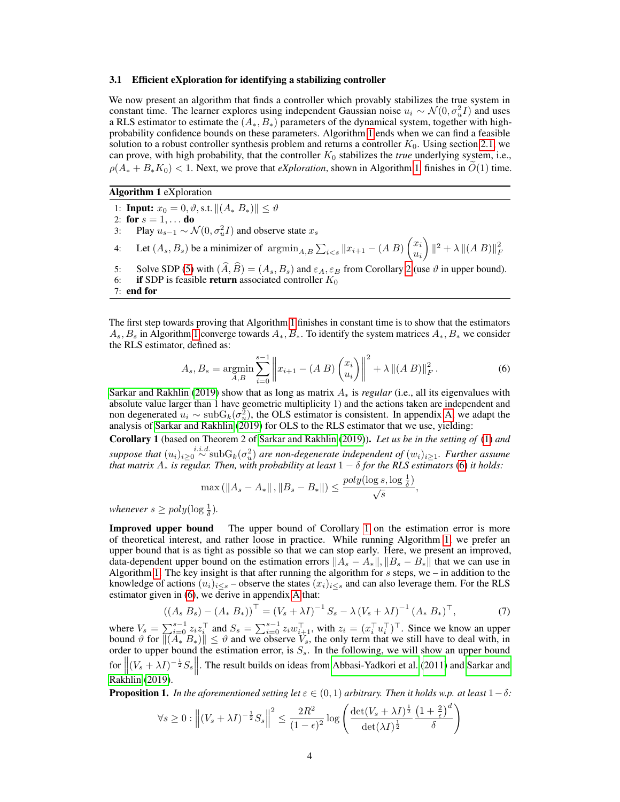#### 3.1 Efficient eXploration for identifying a stabilizing controller

We now present an algorithm that finds a controller which provably stabilizes the true system in constant time. The learner explores using independent Gaussian noise  $u_i \sim \mathcal{N}(0, \sigma_u^2 I)$  and uses a RLS estimator to estimate the  $(A_*, B_*)$  parameters of the dynamical system, together with highprobability confidence bounds on these parameters. Algorithm [1](#page-3-0) ends when we can find a feasible solution to a robust controller synthesis problem and returns a controller  $K_0$ . Using section [2.1,](#page-2-2) we can prove, with high probability, that the controller  $K_0$  stabilizes the *true* underlying system, i.e.,  $\rho(A_{*} + B_{*}K_{0}) < 1$ . Next, we prove that *eXploration*, shown in Algorithm [1,](#page-3-0) finishes in  $O(1)$  time.

<span id="page-3-0"></span>Algorithm 1 eXploration

1: **Input:**  $x_0 = 0, \vartheta$ , s.t.  $||(A * B_*)|| \le \vartheta$ 2: for  $s = 1, \ldots$  do 3: Play  $u_{s-1} \sim \mathcal{N}(0, \sigma_u^2 I)$  and observe state  $x_s$ 4: Let  $(A_s, B_s)$  be a minimizer of  $\operatorname{argmin}_{A, B} \sum_{i < s} ||x_{i+1} - (A \cdot B) \begin{pmatrix} x_i \\ y_i \end{pmatrix}$ ui  $\Big\| \|^{2} + \lambda \| (A\ B) \|_{F}^{2}$ 5: Solve SDP [\(5\)](#page-2-1) with  $(\widehat{A}, \widehat{B}) = (A_s, B_s)$  and  $\varepsilon_A, \varepsilon_B$  from Corollary [2](#page-4-1) (use  $\vartheta$  in upper bound).<br>6: **if** SDP is feasible **return** associated controller  $K_0$ if SDP is feasible return associated controller  $K_0$ 7: end for

The first step towards proving that Algorithm [1](#page-3-0) finishes in constant time is to show that the estimators  $A_s$ ,  $B_s$  in Algorithm [1](#page-3-0) converge towards  $A_*, B_*$ . To identify the system matrices  $A_*, B_*$  we consider the RLS estimator, defined as:

<span id="page-3-1"></span>
$$
A_s, B_s = \underset{A,B}{\text{argmin}} \sum_{i=0}^{s-1} \left\| x_{i+1} - (A\ B) \begin{pmatrix} x_i \\ u_i \end{pmatrix} \right\|^2 + \lambda \left\| (A\ B) \right\|_F^2.
$$
 (6)

[Sarkar and Rakhlin](#page-9-7) [\(2019\)](#page-9-7) show that as long as matrix A<sup>∗</sup> is *regular* (i.e., all its eigenvalues with absolute value larger than 1 have geometric multiplicity 1) and the actions taken are independent and non degenerated  $u_i \sim \text{subG}_k(\sigma_u^2)$ , the OLS estimator is consistent. In appendix [A,](#page-11-0) we adapt the analysis of [Sarkar and Rakhlin](#page-9-7) [\(2019\)](#page-9-7) for OLS to the RLS estimator that we use, yielding:

<span id="page-3-2"></span>Corollary 1 (based on Theorem 2 of [Sarkar and Rakhlin](#page-9-7) [\(2019\)](#page-9-7)). *Let us be in the setting of* [\(1\)](#page-1-0) *and*  $suppose that$   $(u_i)_{i\geq 0} \stackrel{i.i.d.}{\sim} subG_k(\sigma_u^2)$  are non-degenerate independent of  $(w_i)_{i\geq 1}$ . Further assume *that matrix* A<sup>∗</sup> *is regular. Then, with probability at least* 1 − δ *for the RLS estimators* [\(6\)](#page-3-1) *it holds:*

<span id="page-3-3"></span>
$$
\max\left(\left\|A_s - A_*\right\|, \|B_s - B_*\|\right) \le \frac{poly(\log s, \log \frac{1}{\delta})}{\sqrt{s}},
$$

*whenever*  $s \geq poly(\log \frac{1}{\delta})$ .

Improved upper bound The upper bound of Corollary [1](#page-3-2) on the estimation error is more of theoretical interest, and rather loose in practice. While running Algorithm [1,](#page-3-0) we prefer an upper bound that is as tight as possible so that we can stop early. Here, we present an improved, data-dependent upper bound on the estimation errors  $||A_s - A_*||$ ,  $||B_s - B_*||$  that we can use in Algorithm [1.](#page-3-0) The key insight is that after running the algorithm for  $s$  steps, we – in addition to the knowledge of actions  $(u_i)_{i \leq s}$  – observe the states  $(x_i)_{i \leq s}$  and can also leverage them. For the RLS estimator given in [\(6\)](#page-3-1), we derive in appendix [A](#page-11-0) that:

$$
((A_s B_s) - (A_* B_*))^{\top} = (V_s + \lambda I)^{-1} S_s - \lambda (V_s + \lambda I)^{-1} (A_* B_*)^{\top},
$$
(7)

where  $V_s = \sum_{i=0}^{s-1} z_i z_i^{\top}$  and  $S_s = \sum_{i=0}^{s-1} z_i w_{i+1}^{\top}$ , with  $z_i = (x_i^{\top} u_i^{\top})^{\top}$ . Since we know an upper bound  $\vartheta$  for  $\|(A_* B_*)\| \le \vartheta$  and we observe  $V_s$ , the only term that we still have to deal with, in order to upper bound the estimation error, is  $S_s$ . In the following, we will show an upper bound for  $\left\| (V_s + \lambda I)^{-\frac{1}{2}} S_s \right\|$ . The result builds on ideas from [Abbasi-Yadkori et al.](#page-8-9) [\(2011\)](#page-8-9) and [Sarkar and](#page-9-7) [Rakhlin](#page-9-7) [\(2019\)](#page-9-7).

<span id="page-3-4"></span>**Proposition 1.** *In the aforementioned setting let*  $\varepsilon \in (0,1)$  *arbitrary. Then it holds w.p. at least*  $1-\delta$ *:* 

$$
\forall s \ge 0 : \left\| (V_s + \lambda I)^{-\frac{1}{2}} S_s \right\|^2 \le \frac{2R^2}{(1 - \epsilon)^2} \log \left( \frac{\det(V_s + \lambda I)^{\frac{1}{2}}}{\det(\lambda I)^{\frac{1}{2}}} \frac{\left(1 + \frac{2}{\epsilon}\right)^d}{\delta} \right)
$$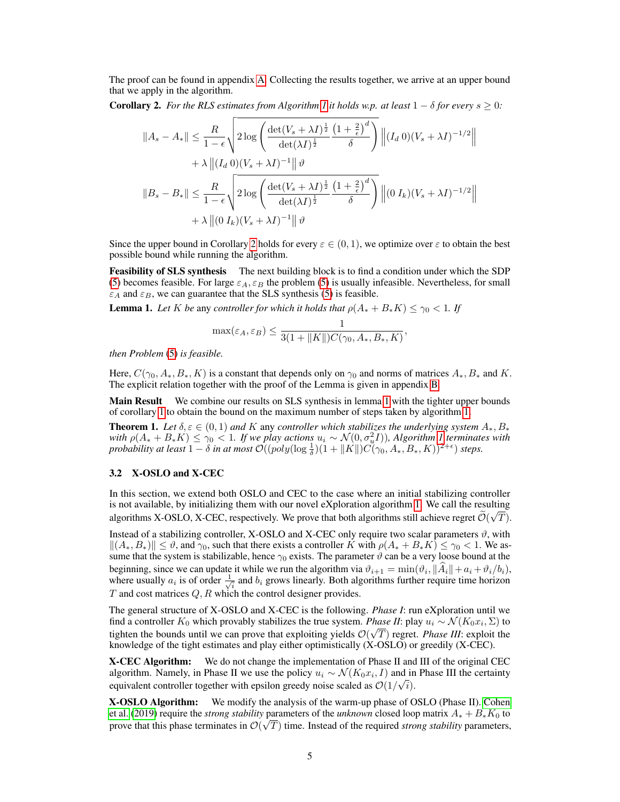The proof can be found in appendix [A.](#page-11-0) Collecting the results together, we arrive at an upper bound that we apply in the algorithm.

<span id="page-4-1"></span>**Corollary 2.** *For the RLS estimates from Algorithm [1](#page-3-0) it holds w.p. at least*  $1 - \delta$  *for every*  $s \geq 0$ *:* 

$$
||A_s - A_*|| \leq \frac{R}{1 - \epsilon} \sqrt{2 \log \left( \frac{\det(V_s + \lambda I)^{\frac{1}{2}}}{\det(\lambda I)^{\frac{1}{2}}} \frac{\left(1 + \frac{2}{\epsilon}\right)^d}{\delta} \right)} ||(I_d 0)(V_s + \lambda I)^{-1/2}||
$$
  
+  $\lambda ||(I_d 0)(V_s + \lambda I)^{-1}|| \vartheta$   
 $||B_s - B_*|| \leq \frac{R}{1 - \epsilon} \sqrt{2 \log \left( \frac{\det(V_s + \lambda I)^{\frac{1}{2}}}{\det(\lambda I)^{\frac{1}{2}}} \frac{\left(1 + \frac{2}{\epsilon}\right)^d}{\delta} \right)} ||(0 I_k)(V_s + \lambda I)^{-1/2}||$   
+  $\lambda ||(0 I_k)(V_s + \lambda I)^{-1}|| \vartheta$ 

Since the upper bound in Corollary [2](#page-4-1) holds for every  $\varepsilon \in (0,1)$ , we optimize over  $\varepsilon$  to obtain the best possible bound while running the algorithm.

Feasibility of SLS synthesis The next building block is to find a condition under which the SDP [\(5\)](#page-2-1) becomes feasible. For large  $\varepsilon_A$ ,  $\varepsilon_B$  the problem (5) is usually infeasible. Nevertheless, for small  $\varepsilon_A$  and  $\varepsilon_B$ , we can guarantee that the SLS synthesis [\(5\)](#page-2-1) is feasible.

<span id="page-4-2"></span>**Lemma 1.** Let K be any controller for which it holds that  $\rho(A_* + B_*K) \leq \gamma_0 < 1$ . If

$$
\max(\varepsilon_A, \varepsilon_B) \le \frac{1}{3(1 + \|K\|)C(\gamma_0, A_*, B_*, K)},
$$

*then Problem* [\(5\)](#page-2-1) *is feasible.*

Here,  $C(\gamma_0, A_*, B_*, K)$  is a constant that depends only on  $\gamma_0$  and norms of matrices  $A_*, B_*$  and K. The explicit relation together with the proof of the Lemma is given in appendix [B.](#page-14-0)

Main Result We combine our results on SLS synthesis in lemma [1](#page-4-2) with the tighter upper bounds of corollary [1](#page-3-2) to obtain the bound on the maximum number of steps taken by algorithm [1.](#page-3-0)

<span id="page-4-3"></span>**Theorem 1.** Let  $\delta, \varepsilon \in (0, 1)$  and K any controller which stabilizes the underlying system  $A_*, B_*$  $with \rho(A_+ + B_*K) ≤ γ_0 < 1$  $with \rho(A_+ + B_*K) ≤ γ_0 < 1$ . If we play actions  $u_i \sim \mathcal{N}(0, \sigma_u^2 I)$ ), Algorithm 1 terminates with *probability at least*  $1 - \delta$  *in at most*  $\mathcal{O}((poly(\log \frac{1}{\delta})(1 + ||K||)C(\gamma_0, A_*, B_*, K))^{2+\epsilon})$  *steps.* 

#### <span id="page-4-0"></span>3.2 X-OSLO and X-CEC

In this section, we extend both OSLO and CEC to the case where an initial stabilizing controller is not available, by initializing them with our novel eXploration algorithm [1.](#page-3-0) We call the resulting  $\tilde{z}(\vec{r})$ algorithms X-OSLO, X-CEC, respectively. We prove that both algorithms still achieve regret  $\mathcal{O}(\sqrt{T})$ .

Instead of a stabilizing controller, X-OSLO and X-CEC only require two scalar parameters  $\vartheta$ , with  $||(A_*, B_*)|| \le \vartheta$ , and  $\gamma_0$ , such that there exists a controller K with  $\rho(A_* + B_*K) \le \gamma_0 < 1$ . We assume that the system is stabilizable, hence  $\gamma_0$  exists. The parameter  $\vartheta$  can be a very loose bound at the beginning, since we can update it while we run the algorithm via  $\vartheta_{i+1} = \min(\vartheta_i, \|A_i\| + a_i + \vartheta_i/b_i)$ , where usually  $a_i$  is of order  $\frac{1}{\sqrt{2}}$  $\frac{1}{i}$  and  $b_i$  grows linearly. Both algorithms further require time horizon  $T$  and cost matrices  $Q, R$  which the control designer provides.

The general structure of X-OSLO and X-CEC is the following. *Phase I*: run eXploration until we find a controller  $K_0$  which provably stabilizes the true system. *Phase II*: play  $u_i \sim \mathcal{N}(K_0 x_i, \Sigma)$  to tighten the bounds until we can prove that exploiting yields  $\mathcal{O}(\sqrt{T})$  regret. *Phase III*: exploit the knowledge of the tight estimates and play either optimistically (X-OSLO) or greedily (X-CEC).

X-CEC Algorithm: We do not change the implementation of Phase II and III of the original CEC algorithm. Namely, in Phase II we use the policy  $u_i \sim \mathcal{N}(K_0 x_i, I)$  and in Phase III the certainty equivalent controller together with epsilon greedy noise scaled as  $\mathcal{O}(1/\sqrt{i})$ .

X-OSLO Algorithm: We modify the analysis of the warm-up phase of OSLO (Phase II). [Cohen](#page-8-3) [et al.](#page-8-3) [\(2019\)](#page-8-3) require the *strong stability* parameters of the *unknown* closed loop matrix  $A_* + B_*K_0$  to prove that this phase terminates in  $\mathcal{O}(\sqrt{T})$  time. Instead of the required *strong stability* parameters,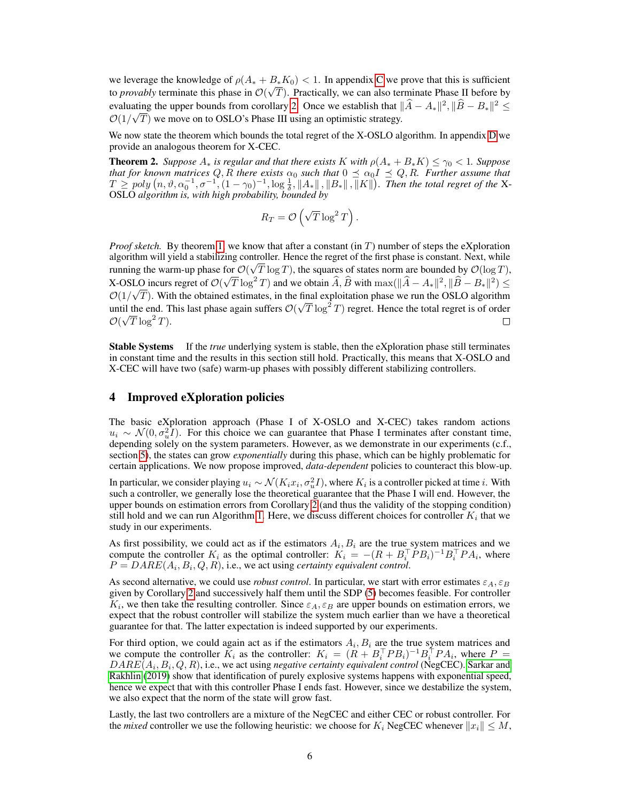we leverage the knowledge of  $\rho(A_* + B_* K_0) < 1$ . In appendix [C](#page-16-0) we prove that this is sufficient to *provably* terminate this phase in  $\mathcal{O}(\sqrt{T})$ . Practically, we can also terminate Phase II before by evaluating the upper bounds from corollary [2.](#page-4-1) Once we establish that  $\|\widehat{A} - A_*\|^2$ ,  $\|\widehat{B} - B_*\|^2 \le$  $\mathcal{O}(1/\sqrt{T})$  we move on to OSLO's Phase III using an optimistic strategy.

We now state the theorem which bounds the total regret of the X-OSLO algorithm. In appendix [D](#page-22-0) we provide an analogous theorem for X-CEC.

**Theorem 2.** *Suppose*  $A_*$  *is regular and that there exists* K *with*  $\rho(A_* + B_*K) \leq \gamma_0 < 1$ *. Suppose that for known matrices*  $Q, R$  *there exists*  $\alpha_0$  *such that*  $0 \leq \alpha_0 I \leq Q, R$ *. Further assume that*  $T \geq poly(n, \vartheta, \alpha_0^{-1}, \sigma^{-1}, (1-\gamma_0)^{-1}, \log \frac{1}{\delta}, ||A_*||, ||B_*||, \overline{||}K||)$ . Then the total regret of the X-OSLO *algorithm is, with high probability, bounded by*

$$
R_T = \mathcal{O}\left(\sqrt{T}\log^2 T\right).
$$

*Proof sketch.* By theorem [1,](#page-4-3) we know that after a constant (in  $T$ ) number of steps the eXploration algorithm will yield a stabilizing controller. Hence the regret of the first phase is constant. Next, while running the warm-up phase for  $\mathcal{O}(\sqrt{T \log T})$ , the squares of states norm are bounded by  $\mathcal{O}(\log T)$ , LO incurs regret of  $\mathcal{O}(\sqrt{T} \log^2 T)$  and we obtain  $\hat{A}, \hat{B}$  with max $(\|\hat{A} - A_*\|^2, \|\hat{B} - B_*\|^2) \le$ X-OSLO incurs regret of  $\mathcal{O}(\mathbb{C})$  $\mathcal{O}(1/\sqrt{T})$ . With the obtained estimates, in the final exploitation phase we run the OSLO algorithm until the end. This last phase again suffers  $\mathcal{O}(\sqrt{T} \log^2 T)$  regret. Hence the total regret is of order  $\mathcal{O}(\sqrt{T}\log^2 T).$  $\Box$ 

**Stable Systems** If the *true* underlying system is stable, then the eXploration phase still terminates in constant time and the results in this section still hold. Practically, this means that X-OSLO and X-CEC will have two (safe) warm-up phases with possibly different stabilizing controllers.

# <span id="page-5-0"></span>4 Improved eXploration policies

The basic eXploration approach (Phase I of X-OSLO and X-CEC) takes random actions  $u_i \sim \mathcal{N}(0, \sigma_u^2 I)$ . For this choice we can guarantee that Phase I terminates after constant time, depending solely on the system parameters. However, as we demonstrate in our experiments (c.f., section [5\)](#page-6-0), the states can grow *exponentially* during this phase, which can be highly problematic for certain applications. We now propose improved, *data-dependent* policies to counteract this blow-up.

In particular, we consider playing  $u_i \sim \mathcal{N}(K_i x_i, \sigma_u^2 I)$ , where  $K_i$  is a controller picked at time  $i$ . With such a controller, we generally lose the theoretical guarantee that the Phase I will end. However, the upper bounds on estimation errors from Corollary [2](#page-4-1) (and thus the validity of the stopping condition) still hold and we can run Algorithm [1.](#page-3-0) Here, we discuss different choices for controller  $K_i$  that we study in our experiments.

As first possibility, we could act as if the estimators  $A_i, B_i$  are the true system matrices and we compute the controller  $K_i$  as the optimal controller:  $K_i = -(R + B_i^{\top}PB_i)^{-1}B_i^{\top}PA_i$ , where  $P = DARE(A_i, B_i, Q, R)$ , i.e., we act using *certainty equivalent control*.

As second alternative, we could use *robust control*. In particular, we start with error estimates  $\varepsilon_A$ ,  $\varepsilon_B$ given by Corollary [2](#page-4-1) and successively half them until the SDP [\(5\)](#page-2-1) becomes feasible. For controller  $K_i$ , we then take the resulting controller. Since  $\varepsilon_A$ ,  $\varepsilon_B$  are upper bounds on estimation errors, we expect that the robust controller will stabilize the system much earlier than we have a theoretical guarantee for that. The latter expectation is indeed supported by our experiments.

For third option, we could again act as if the estimators  $A_i, B_i$  are the true system matrices and we compute the controller  $K_i$  as the controller:  $K_i = (R + B_i^\top P B_i)^{-1} B_i^\top P A_i$ , where  $P =$  $DARE(A_i, B_i, Q, R)$ , i.e., we act using *negative certainty equivalent control* (NegCEC). [Sarkar and](#page-9-7) [Rakhlin](#page-9-7) [\(2019\)](#page-9-7) show that identification of purely explosive systems happens with exponential speed, hence we expect that with this controller Phase I ends fast. However, since we destabilize the system, we also expect that the norm of the state will grow fast.

Lastly, the last two controllers are a mixture of the NegCEC and either CEC or robust controller. For the *mixed* controller we use the following heuristic: we choose for  $K_i$  NegCEC whenever  $||x_i|| \leq M$ ,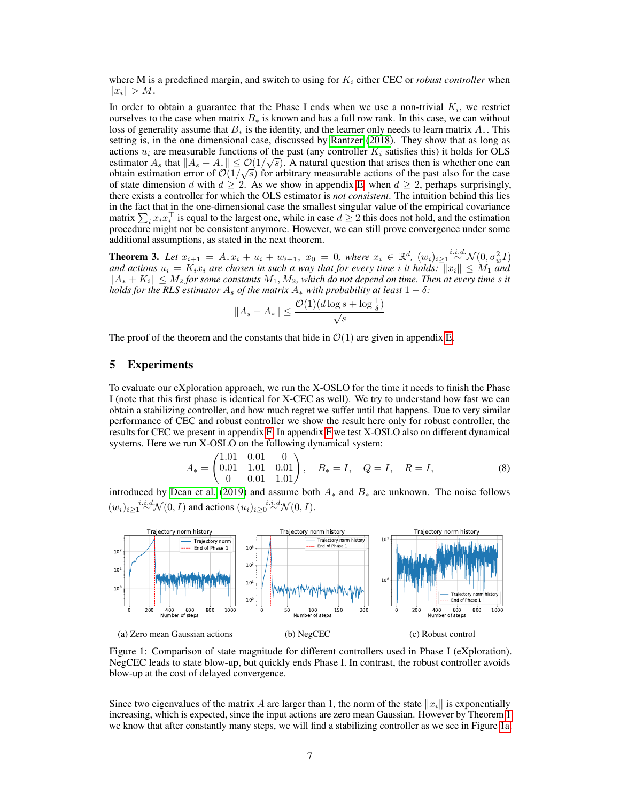where M is a predefined margin, and switch to using for  $K_i$  either CEC or *robust controller* when  $||x_i|| > M.$ 

In order to obtain a guarantee that the Phase I ends when we use a non-trivial  $K_i$ , we restrict ourselves to the case when matrix  $B_*$  is known and has a full row rank. In this case, we can without loss of generality assume that  $B_*$  is the identity, and the learner only needs to learn matrix  $A_*$ . This setting is, in the one dimensional case, discussed by [Rantzer](#page-9-9) [\(2018\)](#page-9-9). They show that as long as actions  $u_i$  are measurable functions of the past (any controller  $K_i$  satisfies this) it holds for OLS estimator  $A_s$  that  $||A_s - A_*|| \leq \mathcal{O}(1/\sqrt{s})$ . A natural question that arises then is whether one can obtain estimation error of  $\mathcal{O}(1/\sqrt{s})$  for arbitrary measurable actions of the past also for the case of state dimension d with  $d \geq 2$ . As we show in appendix [E,](#page-23-0) when  $d \geq 2$ , perhaps surprisingly, there exists a controller for which the OLS estimator is *not consistent*. The intuition behind this lies in the fact that in the one-dimensional case the smallest singular value of the empirical covariance matrix  $\sum_i x_i x_i^\top$  is equal to the largest one, while in case  $d \geq 2$  this does not hold, and the estimation procedure might not be consistent anymore. However, we can still prove convergence under some additional assumptions, as stated in the next theorem.

<span id="page-6-3"></span>**Theorem 3.** Let  $x_{i+1} = A_* x_i + u_i + w_{i+1}$ ,  $x_0 = 0$ , where  $x_i \in \mathbb{R}^d$ ,  $(w_i)_{i \geq 1} \stackrel{i.i.d.}{\sim} \mathcal{N}(0, \sigma_w^2 I)$ and actions  $u_i = K_i x_i$  are chosen in such a way that for every time i it holds:  $\|x_i\| \leq M_1$  and  $||A_* + K_i|| \leq M_2$  *for some constants*  $M_1, M_2$ *, which do not depend on time. Then at every time s it holds for the RLS estimator*  $A_s$  *of the matrix*  $A_*$  *with probability at least*  $1 - \delta$ *:* 

<span id="page-6-2"></span>
$$
||A_s - A_*|| \le \frac{\mathcal{O}(1)(d \log s + \log \frac{1}{\delta})}{\sqrt{s}}
$$

The proof of the theorem and the constants that hide in  $\mathcal{O}(1)$  are given in appendix [E.](#page-23-0)

# <span id="page-6-0"></span>5 Experiments

To evaluate our eXploration approach, we run the X-OSLO for the time it needs to finish the Phase I (note that this first phase is identical for X-CEC as well). We try to understand how fast we can obtain a stabilizing controller, and how much regret we suffer until that happens. Due to very similar performance of CEC and robust controller we show the result here only for robust controller, the results for CEC we present in appendix [F.](#page-28-0) In appendix [F](#page-28-0) we test X-OSLO also on different dynamical systems. Here we run X-OSLO on the following dynamical system:

$$
A_* = \begin{pmatrix} 1.01 & 0.01 & 0 \\ 0.01 & 1.01 & 0.01 \\ 0 & 0.01 & 1.01 \end{pmatrix}, \quad B_* = I, \quad Q = I, \quad R = I,
$$
 (8)

introduced by [Dean et al.](#page-8-4) [\(2019\)](#page-8-4) and assume both  $A_*$  and  $B_*$  are unknown. The noise follows  $(w_i)_{i\geq 1} \stackrel{i.i.d}{\sim} \mathcal{N}(0, I)$  and actions  $(u_i)_{i\geq 0} \stackrel{i.i.d}{\sim} \mathcal{N}(0, I)$ .

<span id="page-6-1"></span>

Figure 1: Comparison of state magnitude for different controllers used in Phase I (eXploration). NegCEC leads to state blow-up, but quickly ends Phase I. In contrast, the robust controller avoids blow-up at the cost of delayed convergence.

Since two eigenvalues of the matrix A are larger than 1, the norm of the state  $||x_i||$  is exponentially increasing, which is expected, since the input actions are zero mean Gaussian. However by Theorem [1](#page-4-3) we know that after constantly many steps, we will find a stabilizing controller as we see in Figure [1a.](#page-6-1)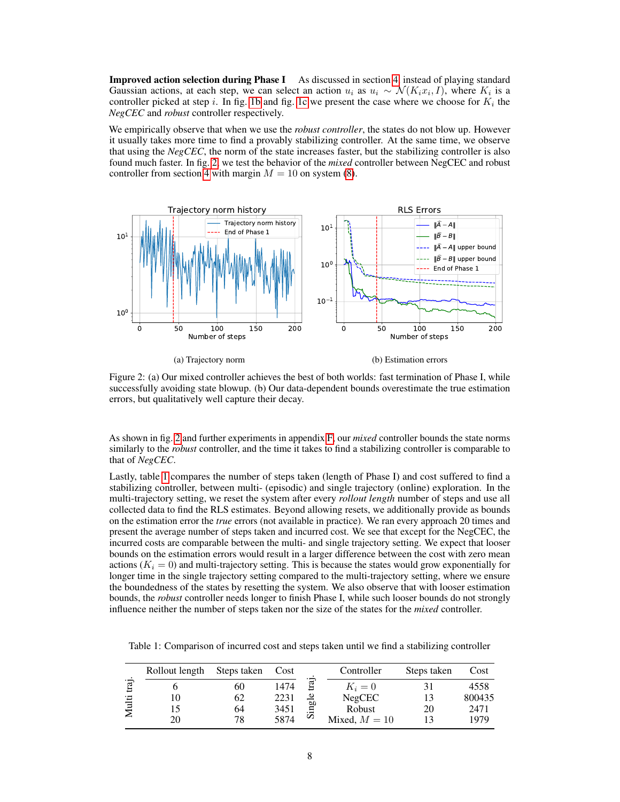**Improved action selection during Phase I** As discussed in section [4,](#page-5-0) instead of playing standard Gaussian actions, at each step, we can select an action  $u_i$  as  $u_i \sim \mathcal{N}(K_i x_i, I)$ , where  $K_i$  is a controller picked at step i. In fig. [1b](#page-6-1) and fig. [1c](#page-6-1) we present the case where we choose for  $K_i$  the *NegCEC* and *robust* controller respectively.

We empirically observe that when we use the *robust controller*, the states do not blow up. However it usually takes more time to find a provably stabilizing controller. At the same time, we observe that using the *NegCEC*, the norm of the state increases faster, but the stabilizing controller is also found much faster. In fig. [2,](#page-7-0) we test the behavior of the *mixed* controller between NegCEC and robust controller from section [4](#page-5-0) with margin  $M = 10$  on system [\(8\)](#page-6-2).

<span id="page-7-0"></span>

(a) Trajectory norm

(b) Estimation errors

Figure 2: (a) Our mixed controller achieves the best of both worlds: fast termination of Phase I, while successfully avoiding state blowup. (b) Our data-dependent bounds overestimate the true estimation errors, but qualitatively well capture their decay.

As shown in fig. [2](#page-7-0) and further experiments in appendix [F,](#page-28-0) our *mixed* controller bounds the state norms similarly to the *robust* controller, and the time it takes to find a stabilizing controller is comparable to that of *NegCEC*.

Lastly, table [1](#page-7-1) compares the number of steps taken (length of Phase I) and cost suffered to find a stabilizing controller, between multi- (episodic) and single trajectory (online) exploration. In the multi-trajectory setting, we reset the system after every *rollout length* number of steps and use all collected data to find the RLS estimates. Beyond allowing resets, we additionally provide as bounds on the estimation error the *true* errors (not available in practice). We ran every approach 20 times and present the average number of steps taken and incurred cost. We see that except for the NegCEC, the incurred costs are comparable between the multi- and single trajectory setting. We expect that looser bounds on the estimation errors would result in a larger difference between the cost with zero mean actions  $(K<sub>i</sub> = 0)$  and multi-trajectory setting. This is because the states would grow exponentially for longer time in the single trajectory setting compared to the multi-trajectory setting, where we ensure the boundedness of the states by resetting the system. We also observe that with looser estimation bounds, the *robust* controller needs longer to finish Phase I, while such looser bounds do not strongly influence neither the number of steps taken nor the size of the states for the *mixed* controller.

|      | Rollout length | Steps taken | Cost |       | Controller      | Steps taken | Cost   |
|------|----------------|-------------|------|-------|-----------------|-------------|--------|
| iraj |                | 60          | 1474 | Ē     | $K_i=0$         |             | 4558   |
| ್ಷ   | 10             | 62          | 2231 | Φ     | <b>NegCEC</b>   |             | 800435 |
|      |                | 64          | 3451 | ingli | Robust          | 20          | 2471   |
|      | 20             | 78          | 5874 | Ω     | Mixed, $M = 10$ |             | 1979   |

<span id="page-7-1"></span>Table 1: Comparison of incurred cost and steps taken until we find a stabilizing controller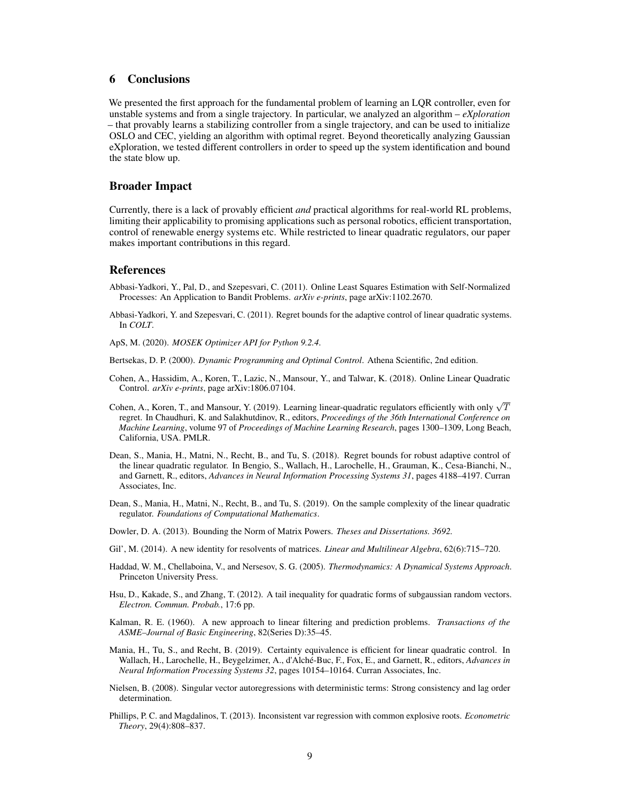# 6 Conclusions

We presented the first approach for the fundamental problem of learning an LQR controller, even for unstable systems and from a single trajectory. In particular, we analyzed an algorithm – *eXploration* – that provably learns a stabilizing controller from a single trajectory, and can be used to initialize OSLO and CEC, yielding an algorithm with optimal regret. Beyond theoretically analyzing Gaussian eXploration, we tested different controllers in order to speed up the system identification and bound the state blow up.

### Broader Impact

Currently, there is a lack of provably efficient *and* practical algorithms for real-world RL problems, limiting their applicability to promising applications such as personal robotics, efficient transportation, control of renewable energy systems etc. While restricted to linear quadratic regulators, our paper makes important contributions in this regard.

# **References**

- <span id="page-8-9"></span>Abbasi-Yadkori, Y., Pal, D., and Szepesvari, C. (2011). Online Least Squares Estimation with Self-Normalized Processes: An Application to Bandit Problems. *arXiv e-prints*, page arXiv:1102.2670.
- <span id="page-8-6"></span>Abbasi-Yadkori, Y. and Szepesvari, C. (2011). Regret bounds for the adaptive control of linear quadratic systems. In *COLT*.
- <span id="page-8-8"></span>ApS, M. (2020). *MOSEK Optimizer API for Python 9.2.4*.
- <span id="page-8-7"></span>Bertsekas, D. P. (2000). *Dynamic Programming and Optimal Control*. Athena Scientific, 2nd edition.
- <span id="page-8-13"></span>Cohen, A., Hassidim, A., Koren, T., Lazic, N., Mansour, Y., and Talwar, K. (2018). Online Linear Quadratic Control. *arXiv e-prints*, page arXiv:1806.07104.
- <span id="page-8-3"></span>Cohen, A., Koren, T., and Mansour, Y. (2019). Learning linear-quadratic regulators efficiently with only  $\sqrt{T}$ regret. In Chaudhuri, K. and Salakhutdinov, R., editors, *Proceedings of the 36th International Conference on Machine Learning*, volume 97 of *Proceedings of Machine Learning Research*, pages 1300–1309, Long Beach, California, USA. PMLR.
- <span id="page-8-5"></span>Dean, S., Mania, H., Matni, N., Recht, B., and Tu, S. (2018). Regret bounds for robust adaptive control of the linear quadratic regulator. In Bengio, S., Wallach, H., Larochelle, H., Grauman, K., Cesa-Bianchi, N., and Garnett, R., editors, *Advances in Neural Information Processing Systems 31*, pages 4188–4197. Curran Associates, Inc.
- <span id="page-8-4"></span>Dean, S., Mania, H., Matni, N., Recht, B., and Tu, S. (2019). On the sample complexity of the linear quadratic regulator. *Foundations of Computational Mathematics*.
- <span id="page-8-12"></span>Dowler, D. A. (2013). Bounding the Norm of Matrix Powers. *Theses and Dissertations. 3692.*
- <span id="page-8-10"></span>Gil', M. (2014). A new identity for resolvents of matrices. *Linear and Multilinear Algebra*, 62(6):715–720.
- <span id="page-8-0"></span>Haddad, W. M., Chellaboina, V., and Nersesov, S. G. (2005). *Thermodynamics: A Dynamical Systems Approach*. Princeton University Press.
- <span id="page-8-11"></span>Hsu, D., Kakade, S., and Zhang, T. (2012). A tail inequality for quadratic forms of subgaussian random vectors. *Electron. Commun. Probab.*, 17:6 pp.
- <span id="page-8-1"></span>Kalman, R. E. (1960). A new approach to linear filtering and prediction problems. *Transactions of the ASME–Journal of Basic Engineering*, 82(Series D):35–45.
- <span id="page-8-2"></span>Mania, H., Tu, S., and Recht, B. (2019). Certainty equivalence is efficient for linear quadratic control. In Wallach, H., Larochelle, H., Beygelzimer, A., d'Alché-Buc, F., Fox, E., and Garnett, R., editors, *Advances in Neural Information Processing Systems 32*, pages 10154–10164. Curran Associates, Inc.
- <span id="page-8-14"></span>Nielsen, B. (2008). Singular vector autoregressions with deterministic terms: Strong consistency and lag order determination.
- <span id="page-8-15"></span>Phillips, P. C. and Magdalinos, T. (2013). Inconsistent var regression with common explosive roots. *Econometric Theory*, 29(4):808–837.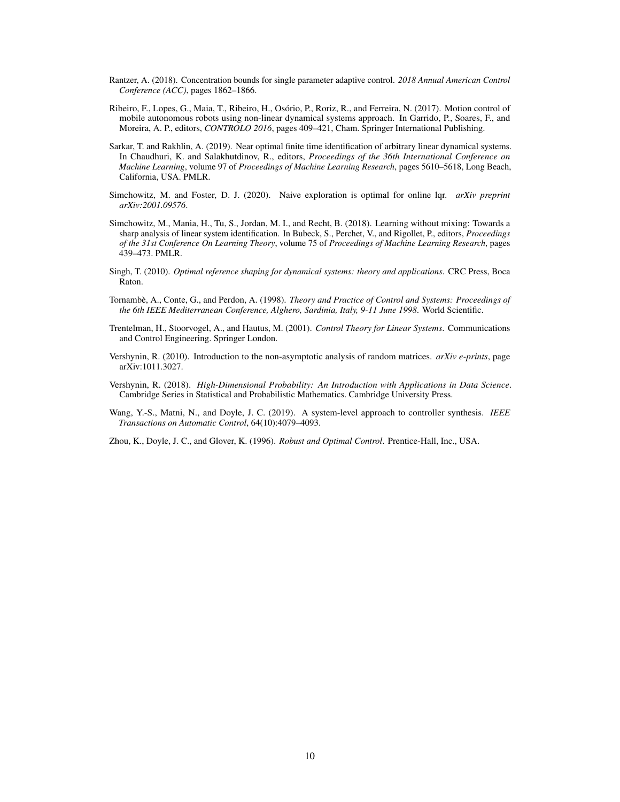- <span id="page-9-9"></span>Rantzer, A. (2018). Concentration bounds for single parameter adaptive control. *2018 Annual American Control Conference (ACC)*, pages 1862–1866.
- <span id="page-9-0"></span>Ribeiro, F., Lopes, G., Maia, T., Ribeiro, H., Osório, P., Roriz, R., and Ferreira, N. (2017). Motion control of mobile autonomous robots using non-linear dynamical systems approach. In Garrido, P., Soares, F., and Moreira, A. P., editors, *CONTROLO 2016*, pages 409–421, Cham. Springer International Publishing.
- <span id="page-9-7"></span>Sarkar, T. and Rakhlin, A. (2019). Near optimal finite time identification of arbitrary linear dynamical systems. In Chaudhuri, K. and Salakhutdinov, R., editors, *Proceedings of the 36th International Conference on Machine Learning*, volume 97 of *Proceedings of Machine Learning Research*, pages 5610–5618, Long Beach, California, USA. PMLR.
- <span id="page-9-4"></span>Simchowitz, M. and Foster, D. J. (2020). Naive exploration is optimal for online lqr. *arXiv preprint arXiv:2001.09576*.
- <span id="page-9-6"></span>Simchowitz, M., Mania, H., Tu, S., Jordan, M. I., and Recht, B. (2018). Learning without mixing: Towards a sharp analysis of linear system identification. In Bubeck, S., Perchet, V., and Rigollet, P., editors, *Proceedings of the 31st Conference On Learning Theory*, volume 75 of *Proceedings of Machine Learning Research*, pages 439–473. PMLR.
- <span id="page-9-1"></span>Singh, T. (2010). *Optimal reference shaping for dynamical systems: theory and applications*. CRC Press, Boca Raton.
- <span id="page-9-3"></span>Tornambè, A., Conte, G., and Perdon, A. (1998). *Theory and Practice of Control and Systems: Proceedings of the 6th IEEE Mediterranean Conference, Alghero, Sardinia, Italy, 9-11 June 1998*. World Scientific.
- <span id="page-9-2"></span>Trentelman, H., Stoorvogel, A., and Hautus, M. (2001). *Control Theory for Linear Systems*. Communications and Control Engineering. Springer London.
- <span id="page-9-11"></span>Vershynin, R. (2010). Introduction to the non-asymptotic analysis of random matrices. *arXiv e-prints*, page arXiv:1011.3027.
- <span id="page-9-10"></span>Vershynin, R. (2018). *High-Dimensional Probability: An Introduction with Applications in Data Science*. Cambridge Series in Statistical and Probabilistic Mathematics. Cambridge University Press.
- <span id="page-9-8"></span>Wang, Y.-S., Matni, N., and Doyle, J. C. (2019). A system-level approach to controller synthesis. *IEEE Transactions on Automatic Control*, 64(10):4079–4093.
- <span id="page-9-5"></span>Zhou, K., Doyle, J. C., and Glover, K. (1996). *Robust and Optimal Control*. Prentice-Hall, Inc., USA.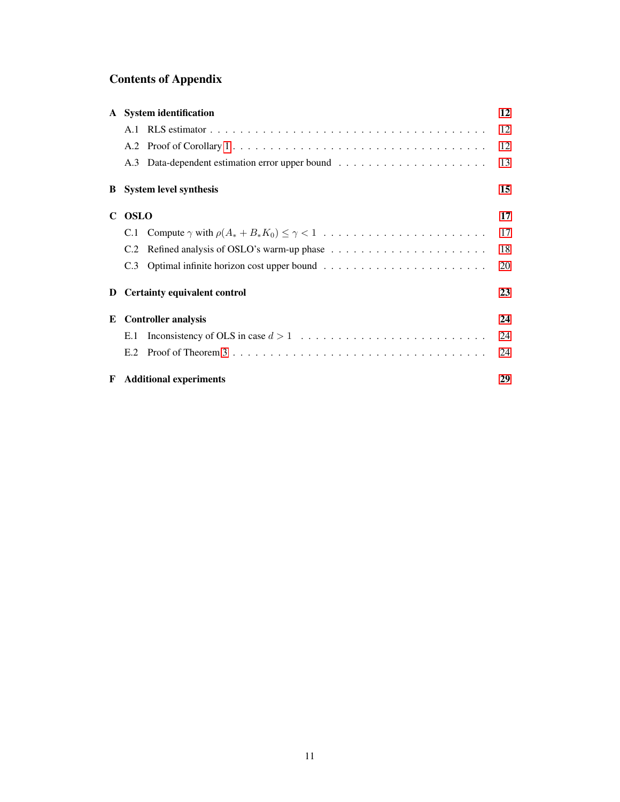# Contents of Appendix

|    | A System identification             | 12 |
|----|-------------------------------------|----|
|    |                                     | 12 |
|    |                                     | 12 |
|    |                                     | 13 |
|    | <b>B</b> System level synthesis     | 15 |
| C. | <b>OSLO</b>                         | 17 |
|    |                                     | 17 |
|    | C.2                                 | 18 |
|    | C.3                                 | 20 |
| D  | <b>Certainty equivalent control</b> | 23 |
| Е  | <b>Controller analysis</b>          | 24 |
|    | E.1                                 | 24 |
|    | E.2                                 | 24 |
| F  | <b>Additional experiments</b>       | 29 |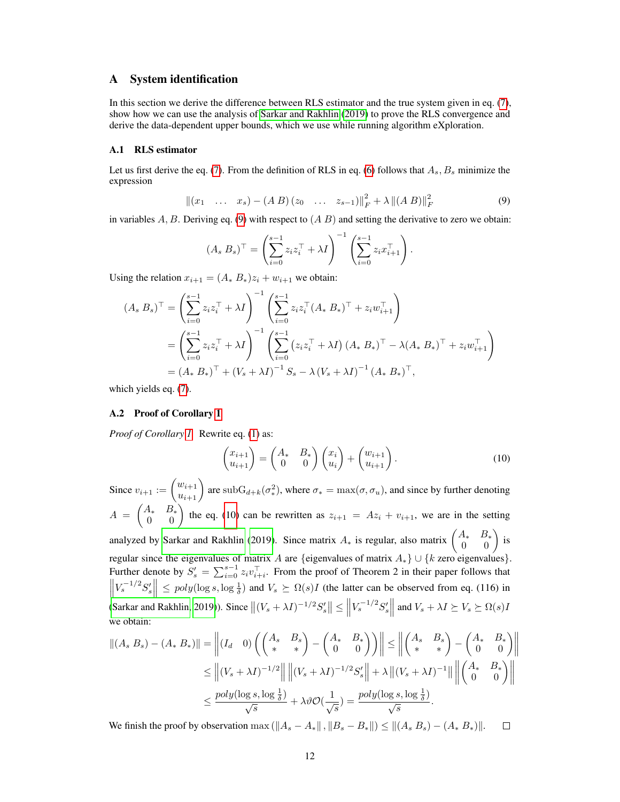# <span id="page-11-0"></span>A System identification

In this section we derive the difference between RLS estimator and the true system given in eq. [\(7\)](#page-3-3), show how we can use the analysis of [Sarkar and Rakhlin](#page-9-7) [\(2019\)](#page-9-7) to prove the RLS convergence and derive the data-dependent upper bounds, which we use while running algorithm eXploration.

### <span id="page-11-1"></span>A.1 RLS estimator

Let us first derive the eq. [\(7\)](#page-3-3). From the definition of RLS in eq. [\(6\)](#page-3-1) follows that  $A_s$ ,  $B_s$  minimize the expression

$$
||(x_1 \dots x_s) - (A B) (z_0 \dots z_{s-1})||_F^2 + \lambda ||(A B)||_F^2
$$
\n(9)

in variables A, B. Deriving eq. [\(9\)](#page-11-3) with respect to  $(AB)$  and setting the derivative to zero we obtain:

<span id="page-11-3"></span>
$$
(A_s B_s)^{\top} = \left(\sum_{i=0}^{s-1} z_i z_i^{\top} + \lambda I\right)^{-1} \left(\sum_{i=0}^{s-1} z_i x_{i+1}^{\top}\right).
$$

Using the relation  $x_{i+1} = (A_* B_*) z_i + w_{i+1}$  we obtain:

$$
(A_s B_s)^\top = \left(\sum_{i=0}^{s-1} z_i z_i^\top + \lambda I\right)^{-1} \left(\sum_{i=0}^{s-1} z_i z_i^\top (A_s B_s)^\top + z_i w_{i+1}^\top\right)
$$
  
= 
$$
\left(\sum_{i=0}^{s-1} z_i z_i^\top + \lambda I\right)^{-1} \left(\sum_{i=0}^{s-1} \left(z_i z_i^\top + \lambda I\right) (A_s B_s)^\top - \lambda (A_s B_s)^\top + z_i w_{i+1}^\top\right)
$$
  
= 
$$
(A_s B_s)^\top + (V_s + \lambda I)^{-1} S_s - \lambda (V_s + \lambda I)^{-1} (A_s B_s)^\top,
$$

which yields eq. [\(7\)](#page-3-3).

#### <span id="page-11-2"></span>A.2 Proof of Corollary [1](#page-3-2)

*Proof of Corollary [1.](#page-3-2)* Rewrite eq. [\(1\)](#page-1-0) as:

<span id="page-11-4"></span>
$$
\begin{pmatrix} x_{i+1} \\ u_{i+1} \end{pmatrix} = \begin{pmatrix} A_* & B_* \\ 0 & 0 \end{pmatrix} \begin{pmatrix} x_i \\ u_i \end{pmatrix} + \begin{pmatrix} w_{i+1} \\ u_{i+1} \end{pmatrix}.
$$
 (10)

Since  $v_{i+1} := \begin{pmatrix} w_{i+1} \\ u_{i+1} \end{pmatrix}$  are  $\text{subG}_{d+k}(\sigma^2_*)$ , where  $\sigma_* = \max(\sigma, \sigma_u)$ , and since by further denoting  $A = \begin{pmatrix} A_*, & B_* \ 0 & 0 \end{pmatrix}$  the eq. [\(10\)](#page-11-4) can be rewritten as  $z_{i+1} = Az_i + v_{i+1}$ , we are in the setting analyzed by [Sarkar and Rakhlin](#page-9-7) [\(2019\)](#page-9-7). Since matrix  $A_*$  is regular, also matrix  $\begin{pmatrix} A_* & B_* \\ 0 & 0 \end{pmatrix}$  is regular since the eigenvalues of matrix A are {eigenvalues of matrix  $A_*$ } ∪ {k zero eigenvalues}. Further denote by  $S'_s = \sum_{i=0}^{s-1} z_i v_{i+i}^{\top}$ . From the proof of Theorem 2 in their paper follows that  $\left\|V_s^{-1/2}S_s'\right\| \leq poly(\log s, \log \frac{1}{\delta})$  and  $V_s \succeq \Omega(s)I$  (the latter can be observed from eq. (116) in  $\frac{1}{2}$ [\(Sarkar and Rakhlin, 2019\)](#page-9-7)). Since  $||(V_s + \lambda I)^{-1/2}S'_s|| \le ||V_s^{-1/2}S'_s||$  and  $V_s + \lambda I \succeq V_s \succeq \Omega(s)I_s$ we obtain:

$$
||(A_s B_s) - (A_* B_*)|| = \left||(I_d \quad 0) \left( \begin{pmatrix} A_s & B_s \\ * & * \end{pmatrix} - \begin{pmatrix} A_* & B_s \\ 0 & 0 \end{pmatrix} \right) \right|| \le ||\begin{pmatrix} A_s & B_s \\ * & * \end{pmatrix} - \begin{pmatrix} A_* & B_s \\ 0 & 0 \end{pmatrix}||
$$
  
\n
$$
\le ||(V_s + \lambda I)^{-1/2}|| ||(V_s + \lambda I)^{-1/2} S'_s|| + \lambda ||(V_s + \lambda I)^{-1}|| ||\begin{pmatrix} A_* & B_* \\ 0 & 0 \end{pmatrix}||
$$
  
\n
$$
\le \frac{poly(\log s, \log \frac{1}{\delta})}{\sqrt{s}} + \lambda \vartheta \mathcal{O}(\frac{1}{\sqrt{s}}) = \frac{poly(\log s, \log \frac{1}{\delta})}{\sqrt{s}}.
$$

We finish the proof by observation max  $(\|A_s - A_*\|, \|B_s - B_*\|) \leq \|(A_s B_s) - (A_* B_*)\|.$  $\Box$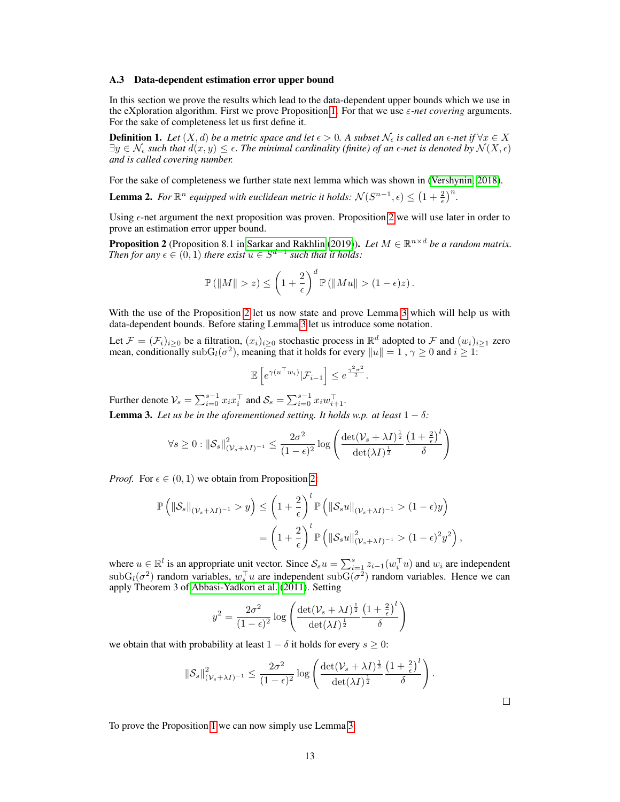#### <span id="page-12-0"></span>A.3 Data-dependent estimation error upper bound

In this section we prove the results which lead to the data-dependent upper bounds which we use in the eXploration algorithm. First we prove Proposition [1.](#page-3-4) For that we use ε*-net covering* arguments. For the sake of completeness let us first define it.

**Definition 1.** Let  $(X, d)$  be a metric space and let  $\epsilon > 0$ . A subset  $\mathcal{N}_{\epsilon}$  is called an  $\epsilon$ -net if  $\forall x \in X$  $\exists y \in \mathcal{N}_{\epsilon}$  such that  $d(x, y) \leq \epsilon$ . The minimal cardinality (finite) of an  $\epsilon$ -net is denoted by  $\mathcal{N}(X, \epsilon)$ *and is called covering number.*

For the sake of completeness we further state next lemma which was shown in [\(Vershynin, 2018\)](#page-9-10).

**Lemma 2.** For  $\mathbb{R}^n$  equipped with euclidean metric it holds:  $\mathcal{N}(S^{n-1}, \epsilon) \leq (1 + \frac{2}{\epsilon})^n$ .

Using  $\epsilon$ -net argument the next proposition was proven. Proposition [2](#page-12-1) we will use later in order to prove an estimation error upper bound.

<span id="page-12-1"></span>**Proposition 2** (Proposition 8.1 in [Sarkar and Rakhlin](#page-9-7) [\(2019\)](#page-9-7)). Let  $M \in \mathbb{R}^{n \times d}$  be a random matrix. *Then for any*  $\epsilon \in (0, 1)$  *there exist*  $u \in S^{d-1}$  *such that it holds:* 

$$
\mathbb{P}\left(\|M\|>z\right)\leq\left(1+\frac{2}{\epsilon}\right)^{d}\mathbb{P}\left(\|Mu\|>(1-\epsilon)z\right).
$$

With the use of the Proposition [2](#page-12-1) let us now state and prove Lemma [3](#page-12-2) which will help us with data-dependent bounds. Before stating Lemma [3](#page-12-2) let us introduce some notation.

Let  $\mathcal{F} = (\mathcal{F}_i)_{i \geq 0}$  be a filtration,  $(x_i)_{i \geq 0}$  stochastic process in  $\mathbb{R}^d$  adopted to  $\mathcal F$  and  $(w_i)_{i \geq 1}$  zero mean, conditionally sub $G_l(\sigma^2)$ , meaning that it holds for every  $||u|| = 1$ ,  $\gamma \ge 0$  and  $i \ge 1$ :

$$
\mathbb{E}\left[e^{\gamma(u^\top w_i)}|\mathcal{F}_{i-1}\right] \leq e^{\frac{\gamma^2\sigma^2}{2}}.
$$

Further denote  $\mathcal{V}_s = \sum_{i=0}^{s-1} x_i x_i^{\top}$  and  $\mathcal{S}_s = \sum_{i=0}^{s-1} x_i w_{i+1}^{\top}$ .

<span id="page-12-2"></span>**Lemma 3.** Let us be in the aforementioned setting. It holds w.p. at least  $1 - \delta$ :

$$
\forall s \geq 0 : \left\|\mathcal{S}_s\right\|_{(\mathcal{V}_s + \lambda I)^{-1}}^2 \leq \frac{2\sigma^2}{(1 - \epsilon)^2} \log \left( \frac{\det(\mathcal{V}_s + \lambda I)^{\frac{1}{2}}}{\det(\lambda I)^{\frac{1}{2}}} \frac{\left(1 + \frac{2}{\epsilon}\right)^l}{\delta} \right)
$$

*Proof.* For  $\epsilon \in (0, 1)$  we obtain from Proposition [2:](#page-12-1)

$$
\mathbb{P}\left(\|\mathcal{S}_s\|_{(\mathcal{V}_s+\lambda I)^{-1}} > y\right) \le \left(1+\frac{2}{\epsilon}\right)^l \mathbb{P}\left(\|\mathcal{S}_s u\|_{(\mathcal{V}_s+\lambda I)^{-1}} > (1-\epsilon)y\right)
$$

$$
= \left(1+\frac{2}{\epsilon}\right)^l \mathbb{P}\left(\|\mathcal{S}_s u\|_{(\mathcal{V}_s+\lambda I)^{-1}}^2 > (1-\epsilon)^2y^2\right),
$$

where  $u \in \mathbb{R}^l$  is an appropriate unit vector. Since  $S_s u = \sum_{i=1}^s z_{i-1}(w_i^\top u)$  and  $w_i$  are independent  $\text{subG}_l(\sigma^2)$  random variables,  $w_s^{\top}u$  are independent  $\text{subG}(\sigma^2)$  random variables. Hence we can apply Theorem 3 of [Abbasi-Yadkori et al.](#page-8-9) [\(2011\)](#page-8-9). Setting

$$
y^{2} = \frac{2\sigma^{2}}{(1-\epsilon)^{2}}\log\left(\frac{\det(\mathcal{V}_{s} + \lambda I)^{\frac{1}{2}}}{\det(\lambda I)^{\frac{1}{2}}}\frac{\left(1 + \frac{2}{\epsilon}\right)^{l}}{\delta}\right)
$$

we obtain that with probability at least  $1 - \delta$  it holds for every  $s \geq 0$ :

$$
\|\mathcal{S}_s\|_{(\mathcal{V}_s+\lambda I)^{-1}}^2 \leq \frac{2\sigma^2}{(1-\epsilon)^2} \log \left( \frac{\det(\mathcal{V}_s+\lambda I)^{\frac{1}{2}}}{\det(\lambda I)^{\frac{1}{2}}} \frac{\left(1+\frac{2}{\epsilon}\right)^l}{\delta} \right).
$$

 $\Box$ 

To prove the Proposition [1](#page-3-4) we can now simply use Lemma [3.](#page-12-2)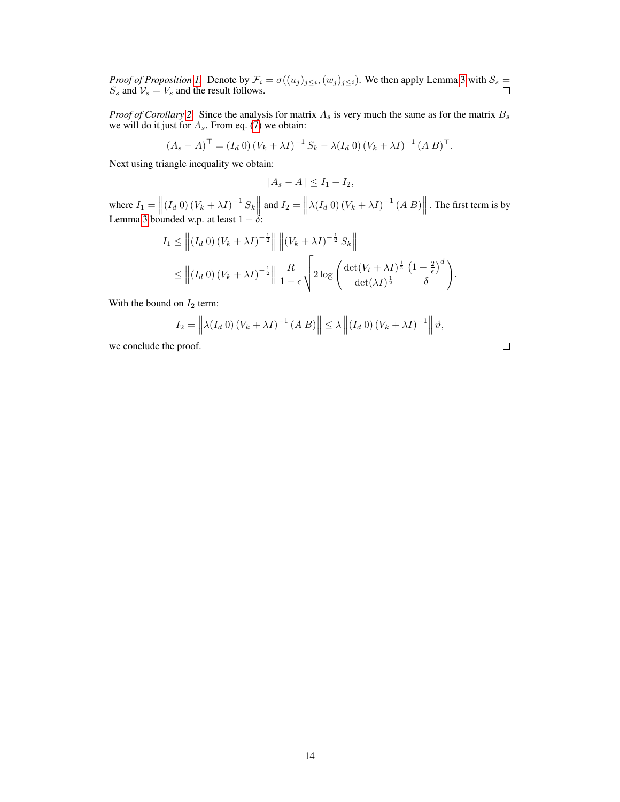*Proof of Proposition [1.](#page-3-4)* Denote by  $\mathcal{F}_i = \sigma((u_j)_{j \leq i}, (w_j)_{j \leq i})$ . We then apply Lemma [3](#page-12-2) with  $\mathcal{S}_s$  $S_s$  and  $V_s = V_s$  and the result follows.

*Proof of Corollary* [2.](#page-4-1) Since the analysis for matrix  $A_s$  is very much the same as for the matrix  $B_s$ we will do it just for  $A_s$ . From eq. [\(7\)](#page-3-3) we obtain:

$$
(A_s - A)^{\top} = (I_d 0) (V_k + \lambda I)^{-1} S_k - \lambda (I_d 0) (V_k + \lambda I)^{-1} (A B)^{\top}.
$$

Next using triangle inequality we obtain:

$$
||A_s - A|| \le I_1 + I_2,
$$

where  $I_1 = \left\| (I_d 0) (V_k + \lambda I)^{-1} S_k \right\|$  and  $I_2 = \left\| \lambda (I_d 0) (V_k + \lambda I)^{-1} (A \, B) \right\|$ . The first term is by Lemma [3](#page-12-2) bounded w.p. at least  $1 - \delta$ :

$$
I_1 \leq \left\| \left(I_d \ 0\right) \left(V_k + \lambda I\right)^{-\frac{1}{2}} \right\| \left\| \left(V_k + \lambda I\right)^{-\frac{1}{2}} S_k \right\|
$$
  

$$
\leq \left\| \left(I_d \ 0\right) \left(V_k + \lambda I\right)^{-\frac{1}{2}} \right\| \frac{R}{1-\epsilon} \sqrt{2 \log \left( \frac{\det(V_t + \lambda I)^{\frac{1}{2}}}{\det(\lambda I)^{\frac{1}{2}}} \frac{\left(1 + \frac{2}{\epsilon}\right)^d}{\delta} \right)}.
$$

With the bound on  $I_2$  term:

$$
I_2 = \left\| \lambda(I_d \ 0) \left( V_k + \lambda I \right)^{-1} \left( A \ B \right) \right\| \leq \lambda \left\| \left( I_d \ 0 \right) \left( V_k + \lambda I \right)^{-1} \right\| \vartheta,
$$

we conclude the proof.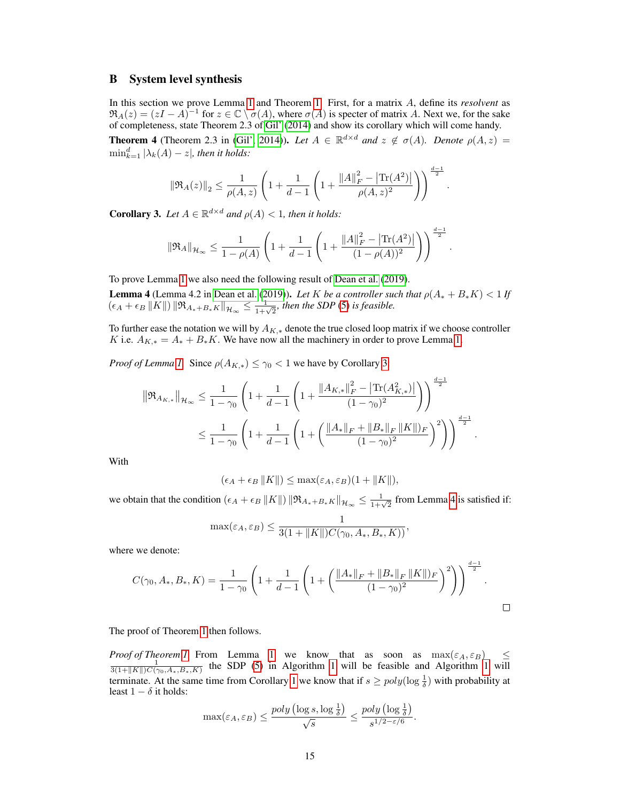## <span id="page-14-0"></span>B System level synthesis

In this section we prove Lemma [1](#page-4-2) and Theorem [1.](#page-4-3) First, for a matrix A, define its *resolvent* as  $\Re_A(z) = (zI - A)^{-1}$  for  $z \in \mathbb{C} \setminus \sigma(A)$ , where  $\sigma(A)$  is specter of matrix A. Next we, for the sake of completeness, state Theorem 2.3 of [Gil'](#page-8-10) [\(2014\)](#page-8-10) and show its corollary which will come handy.

<span id="page-14-3"></span>**Theorem 4** (Theorem 2.3 in [\(Gil', 2014\)](#page-8-10)). Let  $A \in \mathbb{R}^{d \times d}$  and  $z \notin \sigma(A)$ . Denote  $\rho(A, z) =$  $\min_{k=1}^d |\lambda_k(A)-z|$ , then it holds:

$$
\|\Re_A(z)\|_2 \leq \frac{1}{\rho(A,z)} \left(1 + \frac{1}{d-1}\left(1 + \frac{\|A\|_F^2 - \left|\text{Tr}(A^2)\right|}{\rho(A,z)^2}\right)\right)^{\frac{d-1}{2}}.
$$

<span id="page-14-1"></span>**Corollary 3.** Let  $A \in \mathbb{R}^{d \times d}$  and  $\rho(A) < 1$ , then it holds:

$$
\|\Re_A\|_{\mathcal{H}_{\infty}} \leq \frac{1}{1-\rho(A)} \left(1 + \frac{1}{d-1} \left(1 + \frac{\|A\|_F^2 - |\text{Tr}(A^2)|}{(1-\rho(A))^2}\right)\right)^{\frac{d-1}{2}}.
$$

To prove Lemma [1](#page-4-2) we also need the following result of [Dean et al.](#page-8-4) [\(2019\)](#page-8-4).

<span id="page-14-2"></span>**Lemma 4** (Lemma 4.2 in [Dean et al.](#page-8-4) [\(2019\)](#page-8-4)). Let K be a controller such that  $\rho(A_* + B_*K) < 1$  If  $\left(\epsilon_A + \epsilon_B \|K\|\right) \|\Re_{A_* + B_* K}\|_{\mathcal{H}_{\infty}} \leq \frac{1}{1+\sqrt{2}}$ , then the SDP [\(5\)](#page-2-1) is feasible.

To further ease the notation we will by  $A_{K,*}$  denote the true closed loop matrix if we choose controller K i.e.  $A_{K,*} = A_* + B_*K$ . We have now all the machinery in order to prove Lemma [1.](#page-4-2)

*Proof of Lemma [1.](#page-4-2)* Since  $\rho(A_{K,*}) \leq \gamma_0 < 1$  we have by Corollary [3:](#page-14-1)

$$
\|\Re_{A_{K,*}}\|_{\mathcal{H}_{\infty}} \leq \frac{1}{1-\gamma_0} \left(1 + \frac{1}{d-1} \left(1 + \frac{\|A_{K,*}\|_F^2 - |\text{Tr}(A_{K,*}^2)|}{(1-\gamma_0)^2}\right)\right)^{\frac{d-1}{2}} \leq \frac{1}{1-\gamma_0} \left(1 + \frac{1}{d-1} \left(1 + \left(\frac{\|A_*\|_F + \|B_*\|_F \|K\|_F}{(1-\gamma_0)^2}\right)^2\right)\right)^{\frac{d-1}{2}}
$$

.

With

$$
(\epsilon_A + \epsilon_B ||K||) \le \max(\epsilon_A, \epsilon_B)(1 + ||K||),
$$

we obtain that the condition  $(\epsilon_A + \epsilon_B ||K||) ||\Re_{A_* + B_* K}||_{\mathcal{H}_{\infty}} \le \frac{1}{1+\sqrt{2}}$  from Lemma [4](#page-14-2) is satisfied if:

$$
\max(\varepsilon_A, \varepsilon_B) \leq \frac{1}{3(1 + ||K||)C(\gamma_0, A_*, B_*, K))},
$$

where we denote:

$$
C(\gamma_0, A_*, B_*, K) = \frac{1}{1 - \gamma_0} \left( 1 + \frac{1}{d - 1} \left( 1 + \left( \frac{\|A_*\|_F + \|B_*\|_F \|K\|_F}{(1 - \gamma_0)^2} \right)^2 \right) \right)^{\frac{d - 1}{2}}.
$$

The proof of Theorem [1](#page-4-3) then follows.

*Proof of Theorem [1.](#page-4-3)* From Lemma [1](#page-3-0) we know that as soon as  $\max(\varepsilon_A, \varepsilon_B) \leq \frac{1}{3(1+||K||)C(\gamma_0, A_*, B_*, K)}$  the SDP [\(5\)](#page-2-1) in Algorithm 1 will be feasible and Algorithm 1 will terminate. At the same time from Corollary [1](#page-3-2) we know that if  $s \geq poly(\log \frac{1}{\delta})$  with probability at least  $1 - \delta$  it holds:

$$
\max(\varepsilon_A, \varepsilon_B) \le \frac{poly\left(\log s, \log \frac{1}{\delta}\right)}{\sqrt{s}} \le \frac{poly\left(\log \frac{1}{\delta}\right)}{s^{1/2 - \varepsilon/6}}.
$$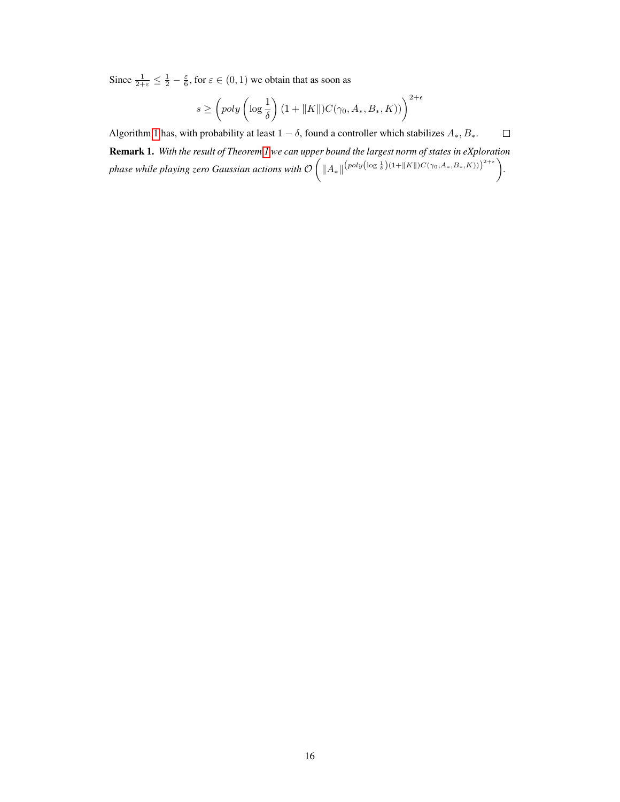Since  $\frac{1}{2+\varepsilon} \leq \frac{1}{2} - \frac{\varepsilon}{6}$ , for  $\varepsilon \in (0,1)$  we obtain that as soon as

$$
s \geq \left( \text{poly}\left(\log\frac{1}{\delta}\right)(1+\|K\|)C(\gamma_0,A_*,B_*,K)) \right)^{2+\epsilon}
$$

Algorithm [1](#page-3-0) has, with probability at least  $1 - \delta$ , found a controller which stabilizes  $A_*, B_*$ .  $\Box$ 

Remark 1. *With the result of Theorem [1](#page-4-3) we can upper bound the largest norm of states in eXploration phase while playing zero Gaussian actions with*  $\mathcal{O}\left(\|A_*\|^{(poly(\log \frac{1}{\delta})(1+\|K\|)C(\gamma_0,A_*,B_*,K)))^{2+\epsilon}}\right)$ .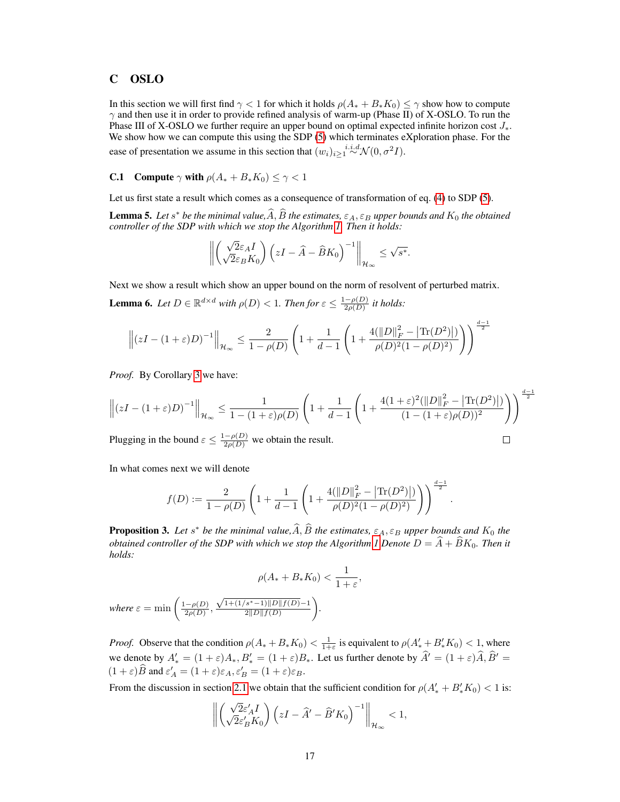# <span id="page-16-0"></span>C OSLO

In this section we will first find  $\gamma < 1$  for which it holds  $\rho(A_* + B_* K_0) \leq \gamma$  show how to compute  $\gamma$  and then use it in order to provide refined analysis of warm-up (Phase II) of X-OSLO. To run the Phase III of X-OSLO we further require an upper bound on optimal expected infinite horizon cost  $J_*$ . We show how we can compute this using the SDP  $(5)$  which terminates eXploration phase. For the ease of presentation we assume in this section that  $(w_i)_{i\geq 1} \stackrel{i.i.d.}{\sim} \mathcal{N}(0, \sigma^2 I)$ .

# <span id="page-16-1"></span>**C.1** Compute  $\gamma$  with  $\rho(A_* + B_*K_0) \leq \gamma < 1$

Let us first state a result which comes as a consequence of transformation of eq. [\(4\)](#page-2-0) to SDP [\(5\)](#page-2-1).

<span id="page-16-2"></span>**Lemma 5.** Let  $s^*$  be the minimal value,  $\widehat{A}$ ,  $\widehat{B}$  the estimates,  $\varepsilon_A$ ,  $\varepsilon_B$  upper bounds and  $K_0$  the obtained controllers of the SDB with which we streaght also without Them it holds. *controller of the SDP with which we stop the Algorithm [1.](#page-3-0) Then it holds:*

$$
\left\| \begin{pmatrix} \sqrt{2}\varepsilon_A I \\ \sqrt{2}\varepsilon_B K_0 \end{pmatrix} \left( zI - \widehat{A} - \widehat{B}K_0 \right)^{-1} \right\|_{\mathcal{H}_{\infty}} \leq \sqrt{s^*}.
$$

<span id="page-16-3"></span>Next we show a result which show an upper bound on the norm of resolvent of perturbed matrix. **Lemma 6.** Let  $D \in \mathbb{R}^{d \times d}$  with  $\rho(D) < 1$ . Then for  $\varepsilon \leq \frac{1 - \rho(D)}{2\rho(D)}$  $\frac{(-\rho(D))}{2\rho(D)}$  it holds:

$$
\left\| (zI - (1+\varepsilon)D)^{-1} \right\|_{\mathcal{H}_{\infty}} \le \frac{2}{1-\rho(D)} \left( 1 + \frac{1}{d-1} \left( 1 + \frac{4(\|D\|_F^2 - |\text{Tr}(D^2)|)}{\rho(D)^2 (1-\rho(D)^2)} \right) \right)^{\frac{d-1}{2}}
$$

*Proof.* By Corollary [3](#page-14-1) we have:

$$
\left\| \left(zI-(1+\varepsilon)D\right)^{-1} \right\|_{\mathcal{H}_{\infty}} \leq \frac{1}{1-(1+\varepsilon)\rho(D)} \left(1+\frac{1}{d-1}\left(1+\frac{4(1+\varepsilon)^2(\|D\|_F^2 - \left|{\text{Tr}}(D^2)\right|)}{(1-(1+\varepsilon)\rho(D))^2} \right) \right)^{\frac{d-1}{2}}
$$

 $\Box$ 

Plugging in the bound  $\varepsilon \leq \frac{1-\rho(D)}{2\rho(D)}$  we obtain the result.

In what comes next we will denote

$$
f(D):=\frac{2}{1-\rho(D)}\left(1+\frac{1}{d-1}\left(1+\frac{4(\|D\|_F^2 - \big|\text{Tr}(D^2)\big|)}{\rho(D)^2(1-\rho(D)^2)}\right)\right)^{\frac{d-1}{2}}.
$$

<span id="page-16-4"></span>**Proposition 3.** Let  $s^*$  be the minimal value,  $\widehat{A}$ ,  $\widehat{B}$  the estimates,  $\varepsilon_A$ ,  $\varepsilon_B$  upper bounds and  $K_0$  the *obtained controller of the SDP with which we stop the Algorithm [1](#page-3-0) Denote*  $D = \hat{A} + \hat{B}K_0$ *. Then it holds:*

$$
\rho(A_* + B_* K_0) < \frac{1}{1 + \varepsilon},
$$
\n
$$
\sqrt{1 + (1/s^* - 1) \|D\| f(D)} - 1
$$

*where*  $\varepsilon = \min \left( \frac{1-\rho(D)}{2\rho(D)} \right)$  $\frac{-\rho(D)}{2\rho(D)},$  $2||D||f(D)$ *.*

*Proof.* Observe that the condition  $\rho(A_4 + B_* K_0) < \frac{1}{1+\varepsilon}$  is equivalent to  $\rho(A'_* + B'_* K_0) < 1$ , where we denote by  $A'_{*} = (1 + \varepsilon)A_{*}, B'_{*} = (1 + \varepsilon)B_{*}$ . Let us further denote by  $\hat{A}' = (1 + \varepsilon)\hat{A}, \hat{B}' = (1 + \varepsilon)\hat{B}$  $(1+\varepsilon)\widehat{B}$  and  $\varepsilon'_A = (1+\varepsilon)\varepsilon_A$ ,  $\varepsilon'_B = (1+\varepsilon)\varepsilon_B$ .

From the discussion in section [2.1](#page-2-2) we obtain that the sufficient condition for  $\rho(A'_{*} + B'_{*}K_{0}) < 1$  is:

$$
\left\|\begin{pmatrix} \sqrt{2}\varepsilon_A' I \\ \sqrt{2}\varepsilon_B' K_0 \end{pmatrix} \Bigl(zI-\widehat A'-\widehat B'K_0\Bigr)^{-1}\right\|_{\mathcal{H}_\infty}<1,
$$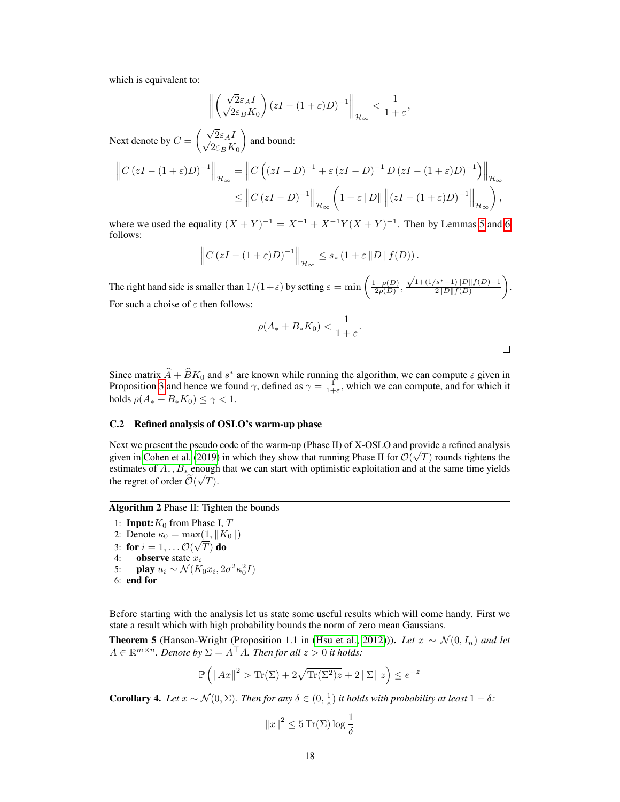which is equivalent to:

$$
\left\| \left( \sqrt{2} \varepsilon_A I \over \sqrt{2} \varepsilon_B K_0 \right) \left( zI - (1 + \varepsilon)D \right)^{-1} \right\|_{\mathcal{H}_{\infty}} < \frac{1}{1 + \varepsilon},
$$

Next denote by  $C = \begin{pmatrix} \sqrt{2} \varepsilon_A I \\ \sqrt{2} \varepsilon_A I \end{pmatrix}$  $2\varepsilon_B K_0$ and bound:

$$
\left\|C\left(zI - (1+\varepsilon)D\right)^{-1}\right\|_{\mathcal{H}_{\infty}} = \left\|C\left(\left(zI - D\right)^{-1} + \varepsilon\left(zI - D\right)^{-1}D\left(zI - (1+\varepsilon)D\right)^{-1}\right)\right\|_{\mathcal{H}_{\infty}}
$$

$$
\leq \left\|C\left(zI - D\right)^{-1}\right\|_{\mathcal{H}_{\infty}}\left(1+\varepsilon\|D\|\left\|\left(zI - (1+\varepsilon)D\right)^{-1}\right\|_{\mathcal{H}_{\infty}}\right),
$$

where we used the equality  $(X + Y)^{-1} = X^{-1} + X^{-1}Y(X + Y)^{-1}$ . Then by Lemmas [5](#page-16-2) and [6](#page-16-3) follows:

$$
\left\|C\left(zI-(1+\varepsilon)D\right)^{-1}\right\|_{\mathcal{H}_{\infty}}\leq s_{*}\left(1+\varepsilon\left\|D\right\|f(D)\right).
$$

The right hand side is smaller than  $1/(1+\varepsilon)$  by setting  $\varepsilon = \min \left( \frac{1-\rho(D)}{2\rho(D)} \right)$  $\frac{-\rho(D)}{2\rho(D)},$  $\sqrt{1+(1/s^*-1)\|D\|f(D)}-1$  $2||D||f(D)$  . For such a choise of  $\varepsilon$  then follows:

$$
\rho(A_* + B_* K_0) < \frac{1}{1+\varepsilon}.
$$

 $\Box$ 

Since matrix  $\hat{A} + \hat{B}K_0$  and s<sup>\*</sup> are known while running the algorithm, we can compute  $\varepsilon$  given in Proposition [3](#page-16-4) and hence we found  $\gamma$ , defined as  $\gamma = \frac{1}{1+\epsilon}$ , which we can compute, and for which it holds  $\rho(A_* + B_* K_0) \leq \gamma < 1$ .

#### <span id="page-17-0"></span>C.2 Refined analysis of OSLO's warm-up phase

Next we present the pseudo code of the warm-up (Phase II) of X-OSLO and provide a refined analysis given in [Cohen et al.](#page-8-3) [\(2019\)](#page-8-3) in which they show that running Phase II for  $\mathcal{O}(\sqrt{T})$  rounds tightens the estimates of  $A_*, B_*$  enough that we can start with optimistic exploitation and at the same time yields the regret of order  $\mathcal{O}(\sqrt{T})$ .

# Algorithm 2 Phase II: Tighten the bounds

1: **Input:** $K_0$  from Phase I, T 2: Denote  $\kappa_0 = \max(1, \|K_0\|)$ 3: for  $i=1,\ldots \mathcal{O}(\sqrt{T})$  do 4: **observe** state  $x_i$ 5: **play**  $u_i \sim \mathcal{N}(K_0 x_i, 2\sigma^2 \kappa_0^2 I)$ 6: end for

Before starting with the analysis let us state some useful results which will come handy. First we state a result which with high probability bounds the norm of zero mean Gaussians.

<span id="page-17-1"></span>**Theorem 5** (Hanson-Wright (Proposition 1.1 in [\(Hsu et al., 2012\)](#page-8-11))). *Let*  $x \sim \mathcal{N}(0, I_n)$  *and let*  $A \in \mathbb{R}^{m \times n}$ . Denote by  $\Sigma = A^{\top}A$ . Then for all  $z > 0$  it holds:

$$
\mathbb{P}\left(\left\|Ax\right\|^2 > \text{Tr}(\Sigma) + 2\sqrt{\text{Tr}(\Sigma^2)z} + 2\left\|\Sigma\right\|z\right) \le e^{-z}
$$

<span id="page-17-2"></span>**Corollary 4.** Let  $x \sim \mathcal{N}(0, \Sigma)$ . Then for any  $\delta \in (0, \frac{1}{e})$  it holds with probability at least  $1 - \delta$ :

$$
||x||^2 \le 5 \operatorname{Tr}(\Sigma) \log \frac{1}{\delta}
$$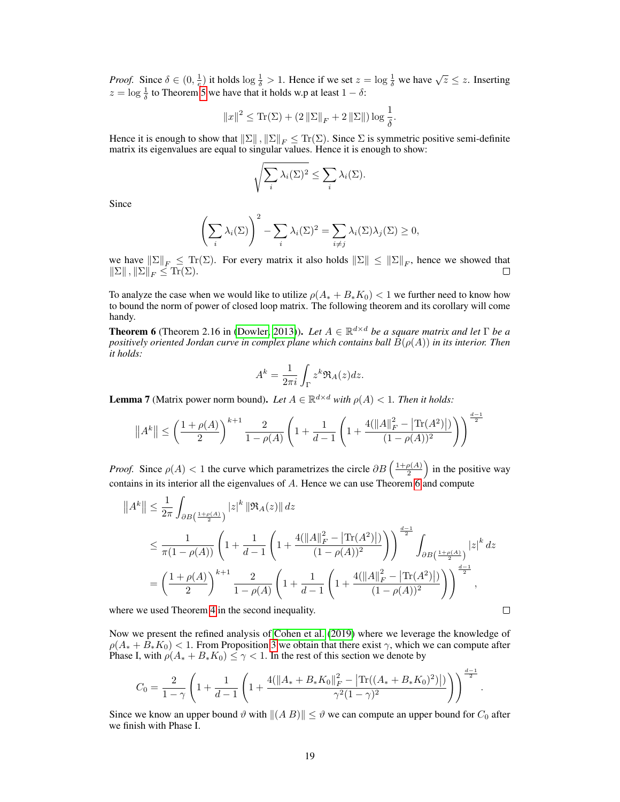*Proof.* Since  $\delta \in (0, \frac{1}{e})$  it holds  $\log \frac{1}{\delta} > 1$ . Hence if we set  $z = \log \frac{1}{\delta}$  we have  $\sqrt{z} \leq z$ . Inserting  $z = \log \frac{1}{\delta}$  to Theorem [5](#page-17-1) we have that it holds w.p at least  $1 - \delta$ :

$$
||x||^2 \le \text{Tr}(\Sigma) + (2 ||\Sigma||_F + 2 ||\Sigma||) \log \frac{1}{\delta}.
$$

Hence it is enough to show that  $\|\Sigma\|, \|\Sigma\|_F \leq \text{Tr}(\Sigma)$ . Since  $\Sigma$  is symmetric positive semi-definite matrix its eigenvalues are equal to singular values. Hence it is enough to show:

$$
\sqrt{\sum_{i} \lambda_i(\Sigma)^2} \leq \sum_{i} \lambda_i(\Sigma).
$$

Since

$$
\left(\sum_{i} \lambda_i(\Sigma)\right)^2 - \sum_{i} \lambda_i(\Sigma)^2 = \sum_{i \neq j} \lambda_i(\Sigma)\lambda_j(\Sigma) \geq 0,
$$

we have  $||\Sigma||_F \leq \text{Tr}(\Sigma)$ . For every matrix it also holds  $||\Sigma|| \leq ||\Sigma||_F$ , hence we showed that  $\|\Sigma\|$ ,  $\|\Sigma\|_F \leq \text{Tr}(\Sigma)$ .

To analyze the case when we would like to utilize  $\rho(A_{*} + B_{*}K_{0}) < 1$  we further need to know how to bound the norm of power of closed loop matrix. The following theorem and its corollary will come handy.

<span id="page-18-0"></span>**Theorem 6** (Theorem 2.16 in [\(Dowler, 2013\)](#page-8-12)). Let  $A \in \mathbb{R}^{d \times d}$  be a square matrix and let  $\Gamma$  be a *positively oriented Jordan curve in complex plane which contains ball*  $B(\rho(A))$  *in its interior. Then it holds:*

$$
A^k = \frac{1}{2\pi i} \int_{\Gamma} z^k \Re_A(z) dz.
$$

<span id="page-18-1"></span>**Lemma 7** (Matrix power norm bound). Let  $A \in \mathbb{R}^{d \times d}$  with  $\rho(A) < 1$ . Then it holds:

$$
||A^k|| \le \left(\frac{1+\rho(A)}{2}\right)^{k+1} \frac{2}{1-\rho(A)} \left(1 + \frac{1}{d-1}\left(1 + \frac{4(||A||_F^2 - |\text{Tr}(A^2)|)}{(1-\rho(A))^2}\right)\right)^{\frac{d-1}{2}}
$$

*Proof.* Since  $\rho(A) < 1$  the curve which parametrizes the circle  $\partial B\left(\frac{1+\rho(A)}{2}\right)$  $\frac{\rho(A)}{2}$  in the positive way contains in its interior all the eigenvalues of A. Hence we can use Theorem [6](#page-18-0) and compute

$$
||A^{k}|| \leq \frac{1}{2\pi} \int_{\partial B\left(\frac{1+\rho(A)}{2}\right)} |z|^{k} ||\Re_A(z)|| dz
$$
  
\n
$$
\leq \frac{1}{\pi(1-\rho(A))} \left(1 + \frac{1}{d-1} \left(1 + \frac{4(||A||_F^2 - |\text{Tr}(A^2)|)}{(1-\rho(A))^2} \right)\right)^{\frac{d-1}{2}} \int_{\partial B\left(\frac{1+\rho(A)}{2}\right)} |z|^k dz
$$
  
\n
$$
= \left(\frac{1+\rho(A)}{2}\right)^{k+1} \frac{2}{1-\rho(A)} \left(1 + \frac{1}{d-1} \left(1 + \frac{4(||A||_F^2 - |\text{Tr}(A^2)|)}{(1-\rho(A))^2}\right)\right)^{\frac{d-1}{2}},
$$

where we used Theorem [4](#page-14-3) in the second inequality.

Now we present the refined analysis of [Cohen et al.](#page-8-3) [\(2019\)](#page-8-3) where we leverage the knowledge of  $\rho(A_{*} + B_{*}K_{0})$  < 1. From Proposition [3](#page-16-4) we obtain that there exist  $\gamma$ , which we can compute after Phase I, with  $\rho(A_{*} + B_{*}K_0) \leq \gamma < 1$ . In the rest of this section we denote by

$$
C_0 = \frac{2}{1-\gamma}\left(1+\frac{1}{d-1}\left(1+\frac{4(\|A_*+B_*K_0\|_F^2 - \left|\text{Tr}((A_*+B_*K_0)^2)\right|)}{\gamma^2(1-\gamma)^2}\right)\right)^{\frac{d-1}{2}}
$$

.

 $\Box$ 

<span id="page-18-2"></span>Since we know an upper bound  $\vartheta$  with  $\|(A B)\| \leq \vartheta$  we can compute an upper bound for  $C_0$  after we finish with Phase I.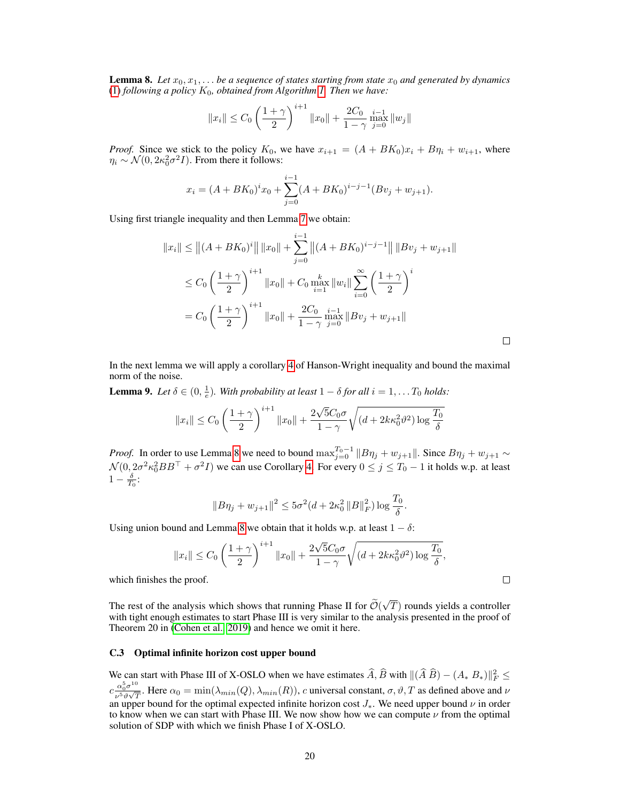**Lemma 8.** Let  $x_0, x_1, \ldots$  be a sequence of states starting from state  $x_0$  and generated by dynamics [\(1\)](#page-1-0) *following a policy*  $K_0$ *, obtained from Algorithm [1.](#page-3-0) Then we have:* 

$$
||x_i|| \leq C_0 \left(\frac{1+\gamma}{2}\right)^{i+1} ||x_0|| + \frac{2C_0}{1-\gamma} \max_{j=0}^{i-1} ||w_j||
$$

*Proof.* Since we stick to the policy  $K_0$ , we have  $x_{i+1} = (A + BK_0)x_i + B\eta_i + w_{i+1}$ , where  $\eta_i \sim \mathcal{N}(0, 2\kappa_0^2 \sigma^2 I)$ . From there it follows:

$$
x_i = (A + BK_0)^i x_0 + \sum_{j=0}^{i-1} (A + BK_0)^{i-j-1} (Bv_j + w_{j+1}).
$$

Using first triangle inequality and then Lemma [7](#page-18-1) we obtain:

$$
||x_i|| \le ||(A + BK_0)^i|| ||x_0|| + \sum_{j=0}^{i-1} ||(A + BK_0)^{i-j-1}|| ||Bv_j + w_{j+1}||
$$
  
\n
$$
\le C_0 \left(\frac{1+\gamma}{2}\right)^{i+1} ||x_0|| + C_0 \max_{i=1}^k ||w_i|| \sum_{i=0}^\infty \left(\frac{1+\gamma}{2}\right)^i
$$
  
\n
$$
= C_0 \left(\frac{1+\gamma}{2}\right)^{i+1} ||x_0|| + \frac{2C_0}{1-\gamma} \min_{j=0}^{i-1} ||Bv_j + w_{j+1}||
$$

 $\Box$ 

 $\Box$ 

In the next lemma we will apply a corollary [4](#page-17-2) of Hanson-Wright inequality and bound the maximal norm of the noise.

**Lemma 9.** Let  $\delta \in (0, \frac{1}{e})$ . With probability at least  $1 - \delta$  for all  $i = 1, \ldots T_0$  holds:

$$
||x_i|| \leq C_0 \left(\frac{1+\gamma}{2}\right)^{i+1} ||x_0|| + \frac{2\sqrt{5}C_0\sigma}{1-\gamma} \sqrt{(d+2k\kappa_0^2\vartheta^2) \log \frac{T_0}{\delta}}
$$

*Proof.* In order to use Lemma [8](#page-18-2) we need to bound  $\max_{j=0}^{T_0-1} ||B\eta_j + w_{j+1}||$ . Since  $B\eta_j + w_{j+1} \sim$  $\mathcal{N}(0, 2\sigma^2 \kappa_0^2 BB^\top + \sigma^2 I)$  we can use Corollary [4.](#page-17-2) For every  $0 \le j \le T_0 - 1$  it holds w.p. at least  $1-\frac{\delta}{T_0}$ :

$$
||B\eta_j + w_{j+1}||^2 \le 5\sigma^2(d + 2\kappa_0^2 ||B||_F^2) \log \frac{T_0}{\delta}.
$$

Using union bound and Lemma [8](#page-18-2) we obtain that it holds w.p. at least  $1 - \delta$ :

$$
||x_i|| \leq C_0 \left(\frac{1+\gamma}{2}\right)^{i+1} ||x_0|| + \frac{2\sqrt{5}C_0\sigma}{1-\gamma} \sqrt{(d+2k\kappa_0^2\vartheta^2) \log \frac{T_0}{\delta}},
$$

which finishes the proof.

The rest of the analysis which shows that running Phase II for  $\mathcal{O}(\frac{1}{n})$ √  $T$ ) rounds yields a controller with tight enough estimates to start Phase III is very similar to the analysis presented in the proof of Theorem 20 in [\(Cohen et al., 2019\)](#page-8-3) and hence we omit it here.

#### <span id="page-19-0"></span>C.3 Optimal infinite horizon cost upper bound

We can start with Phase III of X-OSLO when we have estimates  $\widehat{A}$ ,  $\widehat{B}$  with  $\|(\widehat{A}\widehat{B}) - (A * B*)\|_F^2 \le$  $c \frac{\alpha_0^5 \sigma^{10}}{\sigma^{5.9} \sqrt{\sigma}}$  $\frac{\alpha_0\sigma}{\nu^5\vartheta\sqrt{T}}$ . Here  $\alpha_0 = \min(\lambda_{min}(Q), \lambda_{min}(R))$ , c universal constant,  $\sigma$ ,  $\vartheta$ , T as defined above and  $\nu$ an upper bound for the optimal expected infinite horizon cost  $J_*$ . We need upper bound  $\nu$  in order to know when we can start with Phase III. We now show how we can compute  $\nu$  from the optimal solution of SDP with which we finish Phase I of X-OSLO.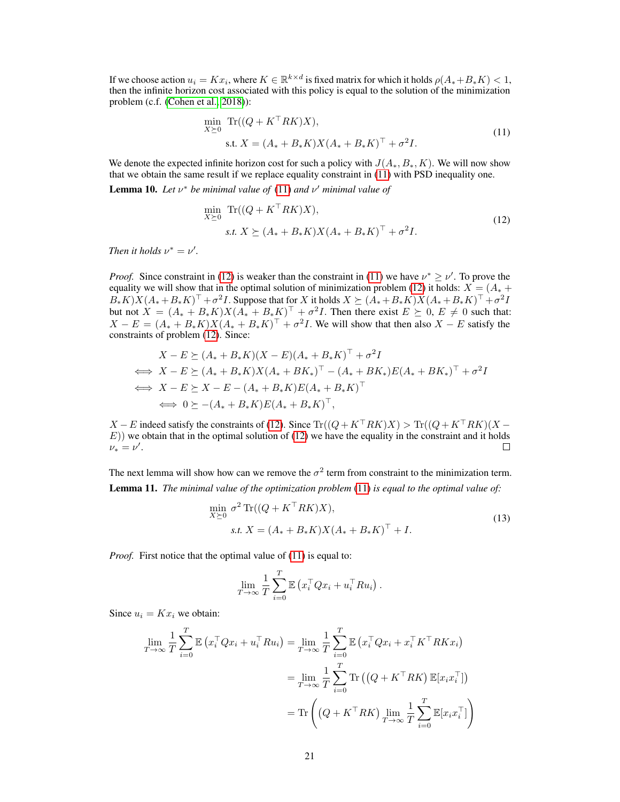If we choose action  $u_i = Kx_i$ , where  $K \in \mathbb{R}^{k \times d}$  is fixed matrix for which it holds  $\rho(A_* + B_*K) < 1$ , then the infinite horizon cost associated with this policy is equal to the solution of the minimization problem (c.f. [\(Cohen et al., 2018\)](#page-8-13)):

<span id="page-20-0"></span>
$$
\min_{X \succeq 0} \text{Tr}((Q + K^{\top}RK)X),
$$
  
s.t.  $X = (A_* + B_*K)X(A_* + B_*K)^{\top} + \sigma^2 I.$  (11)

We denote the expected infinite horizon cost for such a policy with  $J(A_*, B_*, K)$ . We will now show that we obtain the same result if we replace equality constraint in [\(11\)](#page-20-0) with PSD inequality one.

**Lemma 10.** Let  $v^*$  be minimal value of  $(11)$  and  $v'$  minimal value of

<span id="page-20-1"></span>
$$
\min_{X \succeq 0} \text{Tr}((Q + K^{\top}RK)X), \n s.t. \ X \succeq (A_* + B_*K)X(A_* + B_*K)^{\top} + \sigma^2 I.
$$
\n(12)

*Then it holds*  $\nu^* = \nu'.$ 

*Proof.* Since constraint in [\(12\)](#page-20-1) is weaker than the constraint in [\(11\)](#page-20-0) we have  $\nu^* \ge \nu'$ . To prove the equality we will show that in the optimal solution of minimization problem [\(12\)](#page-20-1) it holds:  $X = (A^* + B^*)^T$  $B_*K)X(A_*+B_*K)^\top + \sigma^2 I$ . Suppose that for X it holds  $X \succeq (A_*+B_*K)X(A_*+B_*K)^\top + \sigma^2 I$ . but not  $X = (A_* + B_*K)X(A_* + B_*K)^{\top} + \sigma^2 I$ . Then there exist  $E \succeq 0$ ,  $E \neq 0$  such that:  $X - E = (A_* + B_*K)X(A_* + B_*K)^{\top} + \sigma^2 I$ . We will show that then also  $X - E$  satisfy the constraints of problem [\(12\)](#page-20-1). Since:

$$
X - E \succeq (A_* + B_* K)(X - E)(A_* + B_* K)^\top + \sigma^2 I
$$
  
\n
$$
\iff X - E \succeq (A_* + B_* K)X(A_* + BK_*)^\top - (A_* + BK_*)E(A_* + BK_*)^\top + \sigma^2 I
$$
  
\n
$$
\iff X - E \succeq X - E - (A_* + B_* K)E(A_* + B_* K)^\top
$$
  
\n
$$
\iff 0 \succeq -(A_* + B_* K)E(A_* + B_* K)^\top,
$$

 $X - E$  indeed satisfy the constraints of [\(12\)](#page-20-1). Since  $Tr((Q + K^{\top}RK)X) > Tr((Q + K^{\top}RK)(X E$ )) we obtain that in the optimal solution of [\(12\)](#page-20-1) we have the equality in the constraint and it holds  $\nu_* = \nu'.$  $\Box$ 

The next lemma will show how can we remove the  $\sigma^2$  term from constraint to the minimization term. Lemma 11. *The minimal value of the optimization problem* [\(11\)](#page-20-0) *is equal to the optimal value of:*

$$
\min_{X \succeq 0} \sigma^2 \operatorname{Tr}((Q + K^\top R K)X),
$$
  
s.t.  $X = (A_* + B_* K)X(A_* + B_* K)^\top + I.$  (13)

*Proof.* First notice that the optimal value of [\(11\)](#page-20-0) is equal to:

$$
\lim_{T \to \infty} \frac{1}{T} \sum_{i=0}^{T} \mathbb{E} \left( x_i^{\top} Q x_i + u_i^{\top} R u_i \right).
$$

Since  $u_i = Kx_i$  we obtain:

$$
\lim_{T \to \infty} \frac{1}{T} \sum_{i=0}^{T} \mathbb{E} \left( x_i^{\top} Q x_i + u_i^{\top} R u_i \right) = \lim_{T \to \infty} \frac{1}{T} \sum_{i=0}^{T} \mathbb{E} \left( x_i^{\top} Q x_i + x_i^{\top} K^{\top} R K x_i \right)
$$
\n
$$
= \lim_{T \to \infty} \frac{1}{T} \sum_{i=0}^{T} \text{Tr} \left( \left( Q + K^{\top} R K \right) \mathbb{E} [x_i x_i^{\top}] \right)
$$
\n
$$
= \text{Tr} \left( \left( Q + K^{\top} R K \right) \lim_{T \to \infty} \frac{1}{T} \sum_{i=0}^{T} \mathbb{E} [x_i x_i^{\top}] \right)
$$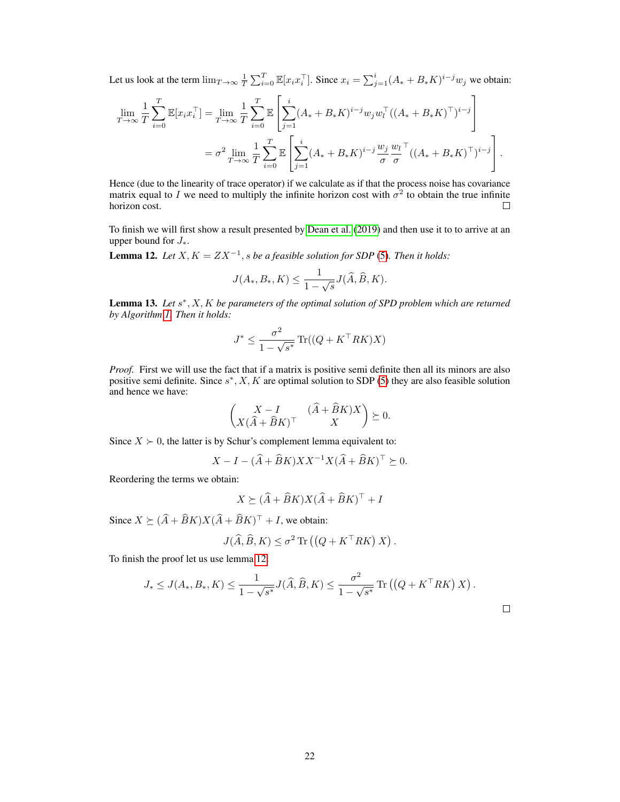Let us look at the term  $\lim_{T\to\infty} \frac{1}{T} \sum_{i=0}^{T} \mathbb{E}[x_i x_i^{\top}]$ . Since  $x_i = \sum_{j=1}^{i} (A_{*} + B_{*} K)^{i-j} w_j$  we obtain:

$$
\lim_{T \to \infty} \frac{1}{T} \sum_{i=0}^{T} \mathbb{E}[x_i x_i^{\top}] = \lim_{T \to \infty} \frac{1}{T} \sum_{i=0}^{T} \mathbb{E}\left[\sum_{j=1}^{i} (A_{*} + B_{*}K)^{i-j} w_j w_i^{\top} ((A_{*} + B_{*}K)^{\top})^{i-j}\right]
$$

$$
= \sigma^2 \lim_{T \to \infty} \frac{1}{T} \sum_{i=0}^{T} \mathbb{E}\left[\sum_{j=1}^{i} (A_{*} + B_{*}K)^{i-j} \frac{w_j}{\sigma} \frac{w_l}{\sigma}^{\top} ((A_{*} + B_{*}K)^{\top})^{i-j}\right].
$$

Hence (due to the linearity of trace operator) if we calculate as if that the process noise has covariance matrix equal to I we need to multiply the infinite horizon cost with  $\sigma^2$  to obtain the true infinite horizon cost.  $\Box$ 

To finish we will first show a result presented by [Dean et al.](#page-8-4) [\(2019\)](#page-8-4) and then use it to to arrive at an upper bound for  $J_*$ .

<span id="page-21-0"></span>**Lemma 12.** Let  $X, K = ZX^{-1}, s$  be a feasible solution for SDP [\(5\)](#page-2-1). Then it holds:

$$
J(A_*,B_*,K) \le \frac{1}{1-\sqrt{s}} J(\widehat{A}, \widehat{B}, K).
$$

Lemma 13. Let  $s^*$ , X, K be parameters of the optimal solution of SPD problem which are returned *by Algorithm [1.](#page-3-0) Then it holds:*

$$
J^* \le \frac{\sigma^2}{1 - \sqrt{s^*}} \operatorname{Tr}((Q + K^\top R K)X)
$$

*Proof.* First we will use the fact that if a matrix is positive semi definite then all its minors are also positive semi definite. Since  $s^*$ , X, K are optimal solution to SDP [\(5\)](#page-2-1) they are also feasible solution and hence we have:

$$
\begin{pmatrix} X - I & (\hat{A} + \hat{B}K)X \\ X(\hat{A} + \hat{B}K)^{\top} & X \end{pmatrix} \succeq 0.
$$

Since  $X \succ 0$ , the latter is by Schur's complement lemma equivalent to:

$$
X - I - (\widehat{A} + \widehat{B}K)XX^{-1}X(\widehat{A} + \widehat{B}K)^{\top} \succeq 0.
$$

Reordering the terms we obtain:

$$
X \succeq (\widehat{A} + \widehat{B}K)X(\widehat{A} + \widehat{B}K)^{\top} + I
$$

Since  $X \succeq (\widehat{A} + \widehat{B}K)X(\widehat{A} + \widehat{B}K)^{\top} + I$ , we obtain:

$$
J(\widehat{A}, \widehat{B}, K) \le \sigma^2 \operatorname{Tr} \left( \left( Q + K^\top R K \right) X \right).
$$

To finish the proof let us use lemma [12:](#page-21-0)

$$
J_{*} \leq J(A_{*}, B_{*}, K) \leq \frac{1}{1 - \sqrt{s^{*}}} J(\widehat{A}, \widehat{B}, K) \leq \frac{\sigma^{2}}{1 - \sqrt{s^{*}}} \operatorname{Tr} ((Q + K^{\top} R K) X).
$$

 $\Box$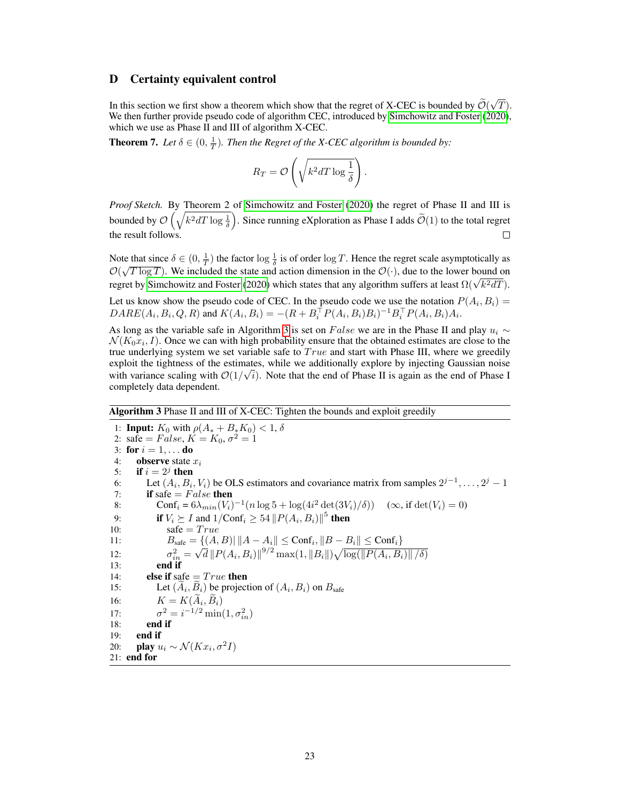## <span id="page-22-0"></span>D Certainty equivalent control

In this section we first show a theorem which show that the regret of X-CEC is bounded by  $\mathcal{O}(\mathbf{W}_{\text{eff}})$ √ T). We then further provide pseudo code of algorithm CEC, introduced by [Simchowitz and Foster](#page-9-4) [\(2020\)](#page-9-4), which we use as Phase II and III of algorithm X-CEC.

**Theorem 7.** Let  $\delta \in (0, \frac{1}{T})$ . Then the Regret of the X-CEC algorithm is bounded by:

$$
R_T = \mathcal{O}\left(\sqrt{k^2 d T \log \frac{1}{\delta}}\right).
$$

*Proof Sketch.* By Theorem 2 of [Simchowitz and Foster](#page-9-4) [\(2020\)](#page-9-4) the regret of Phase II and III is bounded by  $\mathcal{O}\left(\sqrt{k^2dT\log\frac{1}{\delta}}\right)$ . Since running eXploration as Phase I adds  $\widetilde{\mathcal{O}}(1)$  to the total regret the result follows.

Note that since  $\delta \in (0, \frac{1}{T})$  the factor  $\log \frac{1}{\delta}$  is of order  $\log T$ . Hence the regret scale asymptotically as  $\mathcal{O}(\sqrt{T \log T})$ . We included the state and action dimension in the  $\mathcal{O}(\cdot)$ , due to the lower bound on  $C(\sqrt{T} \log T)$ . We included the state and action dimension in the  $C(\cdot)$ , due to the lower bound on regret by [Simchowitz and Foster](#page-9-4) [\(2020\)](#page-9-4) which states that any algorithm suffers at least  $\Omega(\sqrt{k^2}dT)$ .

Let us know show the pseudo code of CEC. In the pseudo code we use the notation  $P(A_i, B_i) =$  $DARE(A_i, B_i, Q, R)$  and  $K(A_i, B_i) = -(R + B_i^{\top} P(A_i, B_i)B_i)^{-1} B_i^{\top} P(A_i, B_i)A_i$ .

As long as the variable safe in Algorithm [3](#page-22-1) is set on False we are in the Phase II and play  $u_i \sim$  $\mathcal{N}(K_0x_i, I)$ . Once we can with high probability ensure that the obtained estimates are close to the true underlying system we set variable safe to  $True$  and start with Phase III, where we greedily exploit the tightness of the estimates, while we additionally explore by injecting Gaussian noise with variance scaling with  $\mathcal{O}(1/\sqrt{i})$ . Note that the end of Phase II is again as the end of Phase I completely data dependent.

## <span id="page-22-1"></span>Algorithm 3 Phase II and III of X-CEC: Tighten the bounds and exploit greedily

1: **Input:**  $K_0$  with  $\rho(A_* + B_* K_0) < 1, \delta$ 2: safe =  $False, K = K_0, \sigma^2 = 1$ 3: for  $i = 1, ...$  do 4: **observe** state  $x_i$ <br>5: **if**  $i = 2^j$  then 5: if  $i = 2^j$  then 6: Let  $(A_i, B_i, V_i)$  be OLS estimators and covariance matrix from samples  $2^{j-1}, \ldots, 2^j-1$ 7: if safe  $= False$  then 8: Conf<sub>i</sub> =  $6\lambda_{min}(V_i)^{-1}(n \log 5 + \log(4i^2 \det(3V_i)/\delta))$  ( $\infty$ , if  $\det(V_i) = 0$ ) 9: **if**  $V_i \succeq I$  and  $1/\text{Conf}_i \geq 54 \left\| P(A_i, B_i) \right\|^5$  **then** 10:  $\text{safe} = True$ 11:  $B_{\text{safe}} = \{(A, B) | ||A - A_i|| \leq \text{Conf}_i, ||B - B_i|| \leq \text{Conf}_i\}$  $12:$  $\frac{2}{in}$  = ⊺ )<br>⁄  $\overline{d}\left\Vert P(A_{i},B_{i})\right\Vert ^{9/2}\max(1,\left\Vert B_{i}\right\Vert )\sqrt{\log(\left\Vert P(A_{i},B_{i})\right\Vert /\delta)}$ 13: end if 14: **else if** safe  $= True$  then 15: Let  $(A_i, B_i)$  be projection of  $(A_i, B_i)$  on  $B_{\text{safe}}$ 16:  $K = K(A_i, B_i)$ 17:  $z^2 = i^{-1/2} \min(1, \sigma_{in}^2)$ 18: end if 19: end if 20: **play**  $u_i \sim \mathcal{N}(Kx_i, \sigma^2 I)$ 21: end for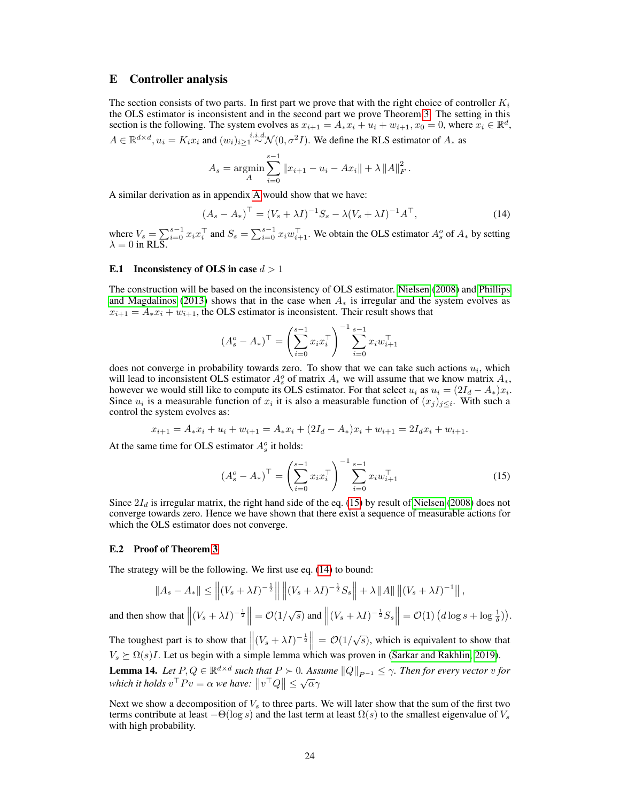## <span id="page-23-0"></span>E Controller analysis

The section consists of two parts. In first part we prove that with the right choice of controller  $K_i$ the OLS estimator is inconsistent and in the second part we prove Theorem [3.](#page-6-3) The setting in this section is the following. The system evolves as  $x_{i+1} = A_* x_i + u_i + w_{i+1}$ ,  $x_0 = 0$ , where  $x_i \in \mathbb{R}^d$ ,  $A \in \mathbb{R}^{d \times d}$ ,  $u_i = K_i x_i$  and  $(w_i)_{i \geq 1} \stackrel{i.i.d.}{\sim} \mathcal{N}(0, \sigma^2 I)$ . We define the RLS estimator of  $A_*$  as

<span id="page-23-4"></span>
$$
A_s = \underset{A}{\text{argmin}} \sum_{i=0}^{s-1} \|x_{i+1} - u_i - Ax_i\| + \lambda \|A\|_F^2.
$$

A similar derivation as in appendix [A](#page-11-0) would show that we have:

$$
(A_s - A_*)^{\top} = (V_s + \lambda I)^{-1} S_s - \lambda (V_s + \lambda I)^{-1} A^{\top},
$$
\n(14)

where  $V_s = \sum_{i=0}^{s-1} x_i x_i^{\top}$  and  $S_s = \sum_{i=0}^{s-1} x_i w_{i+1}^{\top}$ . We obtain the OLS estimator  $A_s^o$  of  $A_*$  by setting  $\lambda = 0$  in RLS.

#### <span id="page-23-1"></span>E.1 Inconsistency of OLS in case  $d > 1$

The construction will be based on the inconsistency of OLS estimator. [Nielsen](#page-8-14) [\(2008\)](#page-8-14) and [Phillips](#page-8-15) [and Magdalinos](#page-8-15) [\(2013\)](#page-8-15) shows that in the case when  $A_*$  is irregular and the system evolves as  $x_{i+1} = A_* x_i + w_{i+1}$ , the OLS estimator is inconsistent. Their result shows that

$$
(A_s^o - A_*)^{\top} = \left(\sum_{i=0}^{s-1} x_i x_i^{\top}\right)^{-1} \sum_{i=0}^{s-1} x_i w_{i+1}^{\top}
$$

does not converge in probability towards zero. To show that we can take such actions  $u_i$ , which will lead to inconsistent OLS estimator  $A_s^o$  of matrix  $A_*$  we will assume that we know matrix  $A_*$ , however we would still like to compute its OLS estimator. For that select  $u_i$  as  $u_i = (2I_d - A_*)x_i$ . Since  $u_i$  is a measurable function of  $x_i$  it is also a measurable function of  $(x_j)_{j\leq i}$ . With such a control the system evolves as:

$$
x_{i+1} = A_*x_i + u_i + w_{i+1} = A_*x_i + (2I_d - A_*)x_i + w_{i+1} = 2I_d x_i + w_{i+1}.
$$

At the same time for OLS estimator  $A_s^o$  it holds:

<span id="page-23-3"></span>
$$
\left(A_s^o - A_*\right)^\top = \left(\sum_{i=0}^{s-1} x_i x_i^\top\right)^{-1} \sum_{i=0}^{s-1} x_i w_{i+1}^\top \tag{15}
$$

Since  $2I_d$  is irregular matrix, the right hand side of the eq. [\(15\)](#page-23-3) by result of [Nielsen](#page-8-14) [\(2008\)](#page-8-14) does not converge towards zero. Hence we have shown that there exist a sequence of measurable actions for which the OLS estimator does not converge.

#### <span id="page-23-2"></span>E.2 Proof of Theorem [3](#page-6-3)

The strategy will be the following. We first use eq. [\(14\)](#page-23-4) to bound:

$$
||A_s - A_*|| \le ||(V_s + \lambda I)^{-\frac{1}{2}}|| ||(V_s + \lambda I)^{-\frac{1}{2}} S_s|| + \lambda ||A|| ||(V_s + \lambda I)^{-1}||,
$$

and then show that  $\left\| (V_s + \lambda I)^{-\frac{1}{2}} \right\| = \mathcal{O}(1/\sqrt{s})$  and  $\left\| (V_s + \lambda I)^{-\frac{1}{2}} S_s \right\| = \mathcal{O}(1) \left( d \log s + \log \frac{1}{\delta} \right)$ .

The toughest part is to show that  $\left\| (V_s + \lambda I)^{-\frac{1}{2}} \right\| = \mathcal{O}(1/\sqrt{s})$ , which is equivalent to show that  $V_s \succeq \Omega(s)I$ . Let us begin with a simple lemma which was proven in [\(Sarkar and Rakhlin, 2019\)](#page-9-7).

<span id="page-23-5"></span>**Lemma 14.** Let  $P, Q \in \mathbb{R}^{d \times d}$  such that  $P \succ 0$ . Assume  $||Q||_{P^{-1}} \leq \gamma$ . Then for every vector v for **Definite 14.** Let  $T$ ,  $Q \in \mathbb{R}$  such that  $T > 0$ . Ass<br>which it holds  $v^{\top}Pv = \alpha$  we have:  $||v^{\top}Q|| \leq \sqrt{\alpha}\gamma$ 

<span id="page-23-6"></span>Next we show a decomposition of  $V_s$  to three parts. We will later show that the sum of the first two terms contribute at least  $-\Theta(\log s)$  and the last term at least  $\Omega(s)$  to the smallest eigenvalue of  $V_s$ with high probability.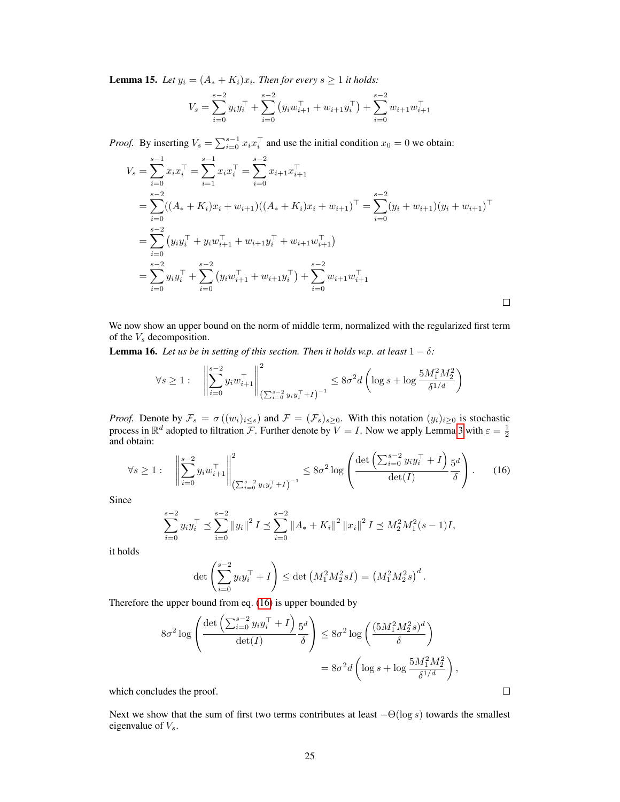**Lemma 15.** Let  $y_i = (A_* + K_i)x_i$ . Then for every  $s \ge 1$  it holds:

$$
V_s = \sum_{i=0}^{s-2} y_i y_i^{\top} + \sum_{i=0}^{s-2} (y_i w_{i+1}^{\top} + w_{i+1} y_i^{\top}) + \sum_{i=0}^{s-2} w_{i+1} w_{i+1}^{\top}
$$

*Proof.* By inserting  $V_s = \sum_{i=0}^{s-1} x_i x_i^\top$  and use the initial condition  $x_0 = 0$  we obtain:

$$
V_s = \sum_{i=0}^{s-1} x_i x_i^{\top} = \sum_{i=1}^{s-1} x_i x_i^{\top} = \sum_{i=0}^{s-2} x_{i+1} x_{i+1}^{\top}
$$
  
\n
$$
= \sum_{i=0}^{s-2} ((A_* + K_i) x_i + w_{i+1})((A_* + K_i) x_i + w_{i+1})^{\top} = \sum_{i=0}^{s-2} (y_i + w_{i+1}) (y_i + w_{i+1})^{\top}
$$
  
\n
$$
= \sum_{i=0}^{s-2} (y_i y_i^{\top} + y_i w_{i+1}^{\top} + w_{i+1} y_i^{\top} + w_{i+1} w_{i+1}^{\top})
$$
  
\n
$$
= \sum_{i=0}^{s-2} y_i y_i^{\top} + \sum_{i=0}^{s-2} (y_i w_{i+1}^{\top} + w_{i+1} y_i^{\top}) + \sum_{i=0}^{s-2} w_{i+1} w_{i+1}^{\top}
$$

We now show an upper bound on the norm of middle term, normalized with the regularized first term of the  $V_s$  decomposition.

<span id="page-24-1"></span>**Lemma 16.** *Let us be in setting of this section. Then it holds w.p. at least*  $1 - \delta$ *:* 

$$
\forall s \ge 1: \quad \left\| \sum_{i=0}^{s-2} y_i w_{i+1}^\top \right\|_{\left( \sum_{i=0}^{s-2} y_i y_i^\top + I \right)^{-1}}^2 \le 8\sigma^2 d \left( \log s + \log \frac{5M_1^2 M_2^2}{\delta^{1/d}} \right)
$$

*Proof.* Denote by  $\mathcal{F}_s = \sigma((w_i)_{i \leq s})$  and  $\mathcal{F} = (\mathcal{F}_s)_{s \geq 0}$ . With this notation  $(y_i)_{i \geq 0}$  is stochastic process in  $\mathbb{R}^d$  adopted to filtration  $\mathcal{F}$ . Further denote by  $V = I$ . Now we apply Lemma [3](#page-12-2) with  $\varepsilon = \frac{1}{2}$ and obtain:

$$
\forall s \ge 1: \quad \left\| \sum_{i=0}^{s-2} y_i w_{i+1}^\top \right\|_{\left( \sum_{i=0}^{s-2} y_i y_i^\top + I \right)^{-1}}^2 \le 8\sigma^2 \log \left( \frac{\det \left( \sum_{i=0}^{s-2} y_i y_i^\top + I \right)}{\det(I)} \frac{5^d}{\delta} \right). \tag{16}
$$

Since

$$
\sum_{i=0}^{s-2} y_i y_i^\top \preceq \sum_{i=0}^{s-2} \|y_i\|^2 I \preceq \sum_{i=0}^{s-2} \|A_* + K_i\|^2 \|x_i\|^2 I \preceq M_2^2 M_1^2 (s-1) I,
$$

it holds

$$
\det \left( \sum_{i=0}^{s-2} y_i y_i^\top + I \right) \le \det \left( M_1^2 M_2^2 s I \right) = \left( M_1^2 M_2^2 s \right)^d.
$$

Therefore the upper bound from eq. [\(16\)](#page-24-0) is upper bounded by

$$
8\sigma^2 \log \left( \frac{\det \left( \sum_{i=0}^{s-2} y_i y_i^{\top} + I \right) 5^d}{\det(I)} \right) \le 8\sigma^2 \log \left( \frac{(5M_1^2 M_2^2 s)^d}{\delta} \right)
$$

$$
= 8\sigma^2 d \left( \log s + \log \frac{5M_1^2 M_2^2}{\delta^{1/d}} \right),
$$

which concludes the proof.

<span id="page-24-2"></span>Next we show that the sum of first two terms contributes at least  $-\Theta(\log s)$  towards the smallest eigenvalue of  $V_s$ .

<span id="page-24-0"></span> $\Box$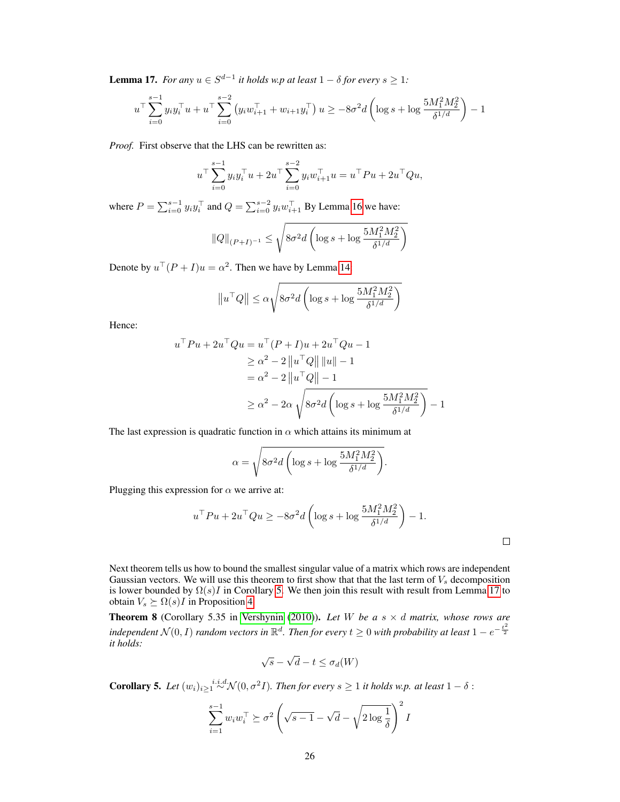**Lemma 17.** *For any*  $u \in S^{d-1}$  *it holds w.p at least*  $1 - \delta$  *for every*  $s \geq 1$ *:* 

$$
u^{\top} \sum_{i=0}^{s-1} y_i y_i^{\top} u + u^{\top} \sum_{i=0}^{s-2} (y_i w_{i+1}^{\top} + w_{i+1} y_i^{\top}) u \ge -8\sigma^2 d \left( \log s + \log \frac{5M_1^2 M_2^2}{\delta^{1/d}} \right) - 1
$$

*Proof.* First observe that the LHS can be rewritten as:

$$
u^{\top} \sum_{i=0}^{s-1} y_i y_i^{\top} u + 2u^{\top} \sum_{i=0}^{s-2} y_i w_{i+1}^{\top} u = u^{\top} P u + 2u^{\top} Q u,
$$

where  $P = \sum_{i=0}^{s-1} y_i y_i^{\top}$  and  $Q = \sum_{i=0}^{s-2} y_i w_{i+1}^{\top}$  By Lemma [16](#page-24-1) we have:

$$
||Q||_{(P+I)^{-1}} \le \sqrt{8\sigma^2 d \left(\log s + \log \frac{5M_1^2 M_2^2}{\delta^{1/d}}\right)}
$$

Denote by  $u^{\top}(P+I)u = \alpha^2$ . Then we have by Lemma [14:](#page-23-5)

$$
\left\|u^{\top} Q \right\| \leq \alpha \sqrt{8\sigma^2 d \left( \log s + \log \frac{5M_1^2 M_2^2}{\delta^{1/d}} \right)}
$$

Hence:

$$
u^{\top}Pu + 2u^{\top}Qu = u^{\top}(P+I)u + 2u^{\top}Qu - 1
$$
  
\n
$$
\geq \alpha^2 - 2 ||u^{\top}Q|| ||u|| - 1
$$
  
\n
$$
= \alpha^2 - 2 ||u^{\top}Q|| - 1
$$
  
\n
$$
\geq \alpha^2 - 2\alpha \sqrt{8\sigma^2 d \left( \log s + \log \frac{5M_1^2 M_2^2}{\delta^{1/d}} \right)} - 1
$$

The last expression is quadratic function in  $\alpha$  which attains its minimum at

$$
\alpha = \sqrt{8\sigma^2 d \left( \log s + \log \frac{5M_1^2 M_2^2}{\delta^{1/d}} \right)}.
$$

Plugging this expression for  $\alpha$  we arrive at:

$$
u^\top P u + 2u^\top Q u \ge -8\sigma^2 d \left( \log s + \log \frac{5M_1^2 M_2^2}{\delta^{1/d}} \right) - 1.
$$

 $\Box$ 

Next theorem tells us how to bound the smallest singular value of a matrix which rows are independent Gaussian vectors. We will use this theorem to first show that that the last term of  $V_s$  decomposition is lower bounded by  $\Omega(s)I$  in Corollary [5.](#page-25-0) We then join this result with result from Lemma [17](#page-24-2) to obtain  $V_s \succeq \Omega(s)I$  in Proposition [4.](#page-26-0)

<span id="page-25-1"></span>**Theorem 8** (Corollary 5.35 in [Vershynin](#page-9-11) [\(2010\)](#page-9-11)). Let W be a  $s \times d$  matrix, whose rows are independent  $\mathcal{N}(0,I)$  random vectors in  $\mathbb{R}^d$ . Then for every  $t\geq 0$  with probability at least  $1-e^{-\frac{t^2}{2}}$ *it holds:*

$$
\sqrt{s} - \sqrt{d} - t \le \sigma_d(W)
$$

<span id="page-25-0"></span>**Corollary 5.** Let  $(w_i)_{i\geq 1} \stackrel{i.i.d.}{\sim} \mathcal{N}(0, \sigma^2 I)$ . Then for every  $s \geq 1$  it holds w.p. at least  $1 - \delta$ :

$$
\sum_{i=1}^{s-1} w_i w_i^\top \succeq \sigma^2 \left( \sqrt{s-1} - \sqrt{d} - \sqrt{2 \log \frac{1}{\delta}} \right)^2 I
$$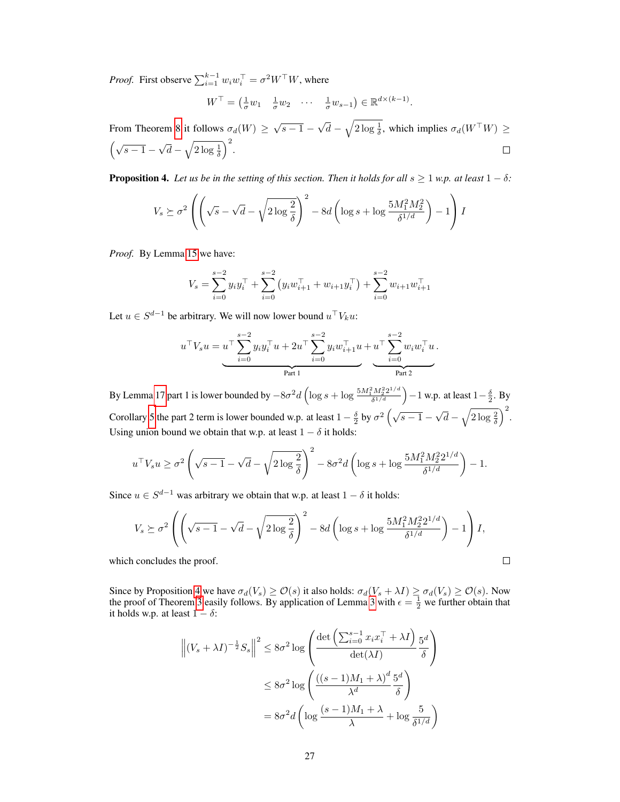*Proof.* First observe  $\sum_{i=1}^{k-1} w_i w_i^\top = \sigma^2 W^\top W$ , where

$$
W^{\top} = \left(\frac{1}{\sigma}w_1 \quad \frac{1}{\sigma}w_2 \quad \cdots \quad \frac{1}{\sigma}w_{s-1}\right) \in \mathbb{R}^{d \times (k-1)}.
$$

From Theorem [8](#page-25-1) it follows  $\sigma_d(W) \ge \sqrt{s-1}$  – √  $\overline{d} - \sqrt{2 \log \frac{1}{\delta}}$ , which implies  $\sigma_d(W^{\top} W) \ge$ √  $\left(\sqrt{s-1}\right)$  $\overline{d} - \sqrt{2 \log \frac{1}{\delta}}$  $\Box$ 

<span id="page-26-0"></span>**Proposition 4.** Let us be in the setting of this section. Then it holds for all  $s \ge 1$  w.p. at least  $1 - \delta$ :

$$
V_s \succeq \sigma^2 \left( \left( \sqrt{s} - \sqrt{d} - \sqrt{2 \log \frac{2}{\delta}} \right)^2 - 8d \left( \log s + \log \frac{5M_1^2 M_2^2}{\delta^{1/d}} \right) - 1 \right) I
$$

*Proof.* By Lemma [15](#page-23-6) we have:

$$
V_s = \sum_{i=0}^{s-2} y_i y_i^{\top} + \sum_{i=0}^{s-2} (y_i w_{i+1}^{\top} + w_{i+1} y_i^{\top}) + \sum_{i=0}^{s-2} w_{i+1} w_{i+1}^{\top}
$$

Let  $u \in S^{d-1}$  be arbitrary. We will now lower bound  $u^{\top}V_ku$ :

$$
u^{\top}V_s u = u^{\top} \sum_{i=0}^{s-2} y_i y_i^{\top} u + 2u^{\top} \sum_{i=0}^{s-2} y_i w_{i+1}^{\top} u + u^{\top} \sum_{i=0}^{s-2} w_i w_i^{\top} u.
$$
Part 1

By Lemma [17](#page-24-2) part 1 is lower bounded by  $-8\sigma^2 d \left( \log s + \log \frac{5M_1^2 M_2^2 2^{1/d}}{s^{1/d}} \right)$  $\frac{d^2 M_2^2 2^{1/d}}{\delta^{1/d}}$   $\Big)$  – 1 w.p. at least 1 –  $\frac{\delta}{2}$ . By Corollary [5](#page-25-0) the part 2 term is lower bounded w.p. at least  $1 - \frac{\delta}{2}$  by  $\sigma^2 \left( \sqrt{s-1} - \frac{\delta}{2} \right)$ √  $\overline{d} - \sqrt{2 \log \frac{2}{\delta}}$ Using union bound we obtain that w.p. at least  $1 - \delta$  it holds:

$$
u^{\top}V_s u \ge \sigma^2 \left(\sqrt{s-1} - \sqrt{d} - \sqrt{2\log\frac{2}{\delta}}\right)^2 - 8\sigma^2 d\left(\log s + \log\frac{5M_1^2M_2^22^{1/d}}{\delta^{1/d}}\right) - 1.
$$

Since  $u \in S^{d-1}$  was arbitrary we obtain that w.p. at least  $1 - \delta$  it holds:

$$
V_s \succeq \sigma^2 \left( \left( \sqrt{s-1} - \sqrt{d} - \sqrt{2 \log \frac{2}{\delta}} \right)^2 - 8d \left( \log s + \log \frac{5M_1^2 M_2^2 2^{1/d}}{\delta^{1/d}} \right) - 1 \right) I,
$$
  
a concludes the proof.

which concludes the proof.

Since by Proposition [4](#page-26-0) we have  $\sigma_d(V_s) \geq \mathcal{O}(s)$  it also holds:  $\sigma_d(V_s + \lambda I) \geq \sigma_d(V_s) \geq \mathcal{O}(s)$ . Now the proof of Theorem [3](#page-12-2) easily follows. By application of Lemma 3 with  $\epsilon = \frac{1}{2}$  we further obtain that it holds w.p. at least  $1 - \delta$ :

$$
\left\| (V_s + \lambda I)^{-\frac{1}{2}} S_s \right\|^2 \le 8\sigma^2 \log \left( \frac{\det \left( \sum_{i=0}^{s-1} x_i x_i^{\top} + \lambda I \right)}{\det(\lambda I)} \frac{5^d}{\delta} \right)
$$
  

$$
\le 8\sigma^2 \log \left( \frac{((s-1)M_1 + \lambda)^d}{\lambda^d} \frac{5^d}{\delta} \right)
$$
  

$$
= 8\sigma^2 d \left( \log \frac{(s-1)M_1 + \lambda}{\lambda} + \log \frac{5}{\delta^{1/d}} \right)
$$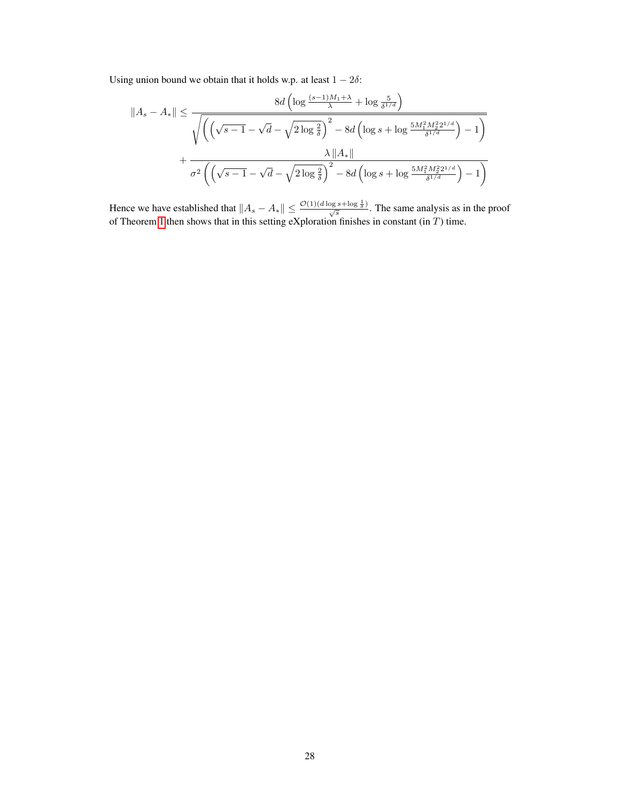Using union bound we obtain that it holds w.p. at least  $1 - 2\delta$ :

$$
||A_s - A_*|| \le \frac{8d\left(\log \frac{(s-1)M_1 + \lambda}{\lambda} + \log \frac{5}{\delta^{1/d}}\right)}{\sqrt{\left(\left(\sqrt{s-1} - \sqrt{d} - \sqrt{2\log\frac{2}{\delta}}\right)^2 - 8d\left(\log s + \log \frac{5M_1^2M_2^22^{1/d}}{\delta^{1/d}}\right) - 1\right)}}
$$

$$
+ \frac{\lambda ||A_*||}{\sigma^2 \left(\left(\sqrt{s-1} - \sqrt{d} - \sqrt{2\log\frac{2}{\delta}}\right)^2 - 8d\left(\log s + \log \frac{5M_1^2M_2^22^{1/d}}{\delta^{1/d}}\right) - 1\right)}
$$

Hence we have established that  $||A_s - A_*|| \leq \frac{\mathcal{O}(1)(d \log s + \log \frac{1}{\delta})}{\sqrt{s}}$ . The same analysis as in the proof of Theorem [1](#page-4-3) then shows that in this setting eXploration finishes in constant (in  $T$ ) time.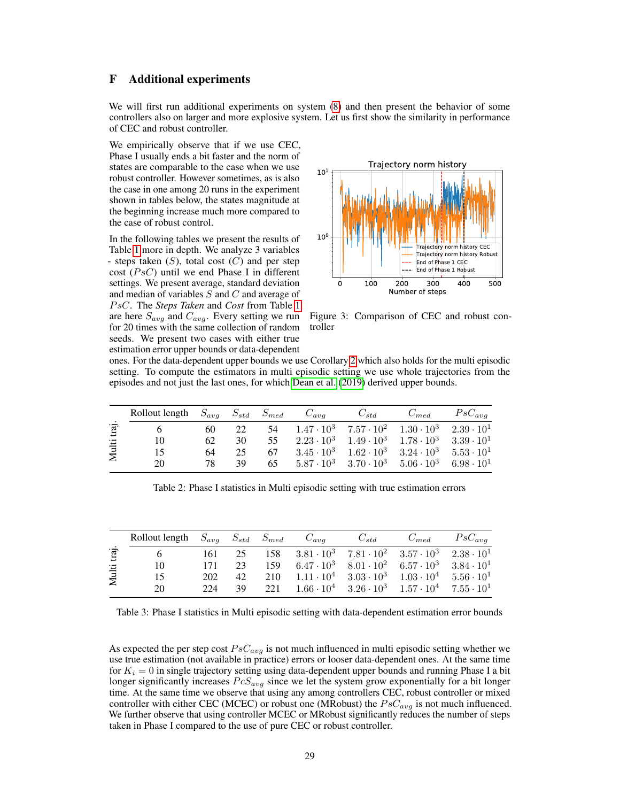# <span id="page-28-0"></span>F Additional experiments

We will first run additional experiments on system [\(8\)](#page-6-2) and then present the behavior of some controllers also on larger and more explosive system. Let us first show the similarity in performance of CEC and robust controller.

We empirically observe that if we use CEC, Phase I usually ends a bit faster and the norm of states are comparable to the case when we use robust controller. However sometimes, as is also the case in one among 20 runs in the experiment shown in tables below, the states magnitude at the beginning increase much more compared to the case of robust control.

In the following tables we present the results of Table [1](#page-7-1) more in depth. We analyze 3 variables - steps taken  $(S)$ , total cost  $(C)$  and per step cost  $(P s C)$  until we end Phase I in different settings. We present average, standard deviation and median of variables  $S$  and  $C$  and average of P sC. The *Steps Taken* and *Cost* from Table [1](#page-7-1) are here  $S_{avg}$  and  $C_{avg}$ . Every setting we run for 20 times with the same collection of random seeds. We present two cases with either true estimation error upper bounds or data-dependent



Figure 3: Comparison of CEC and robust controller

ones. For the data-dependent upper bounds we use Corollary [2](#page-4-1) which also holds for the multi episodic setting. To compute the estimators in multi episodic setting we use whole trajectories from the episodes and not just the last ones, for which [Dean et al.](#page-8-4) [\(2019\)](#page-8-4) derived upper bounds.

|    |    |    |    | $C_{std}$                                              | $C_{med}$ | $PsC_{ava}$                                                                                                                                                                                                                                                                                              |
|----|----|----|----|--------------------------------------------------------|-----------|----------------------------------------------------------------------------------------------------------------------------------------------------------------------------------------------------------------------------------------------------------------------------------------------------------|
|    | 60 | 22 | 54 |                                                        |           |                                                                                                                                                                                                                                                                                                          |
| 10 | 62 | 30 | 55 |                                                        |           |                                                                                                                                                                                                                                                                                                          |
| 15 | 64 | 25 | 67 |                                                        |           |                                                                                                                                                                                                                                                                                                          |
| 20 | 78 | 39 | 65 |                                                        |           |                                                                                                                                                                                                                                                                                                          |
|    |    |    |    | Rollout length $S_{avg}$ $S_{std}$ $S_{med}$ $C_{avg}$ |           | $1.47 \cdot 10^3$ $7.57 \cdot 10^2$ $1.30 \cdot 10^3$ $2.39 \cdot 10^1$<br>$2.23 \cdot 10^3$ $1.49 \cdot 10^3$ $1.78 \cdot 10^3$ $3.39 \cdot 10^1$<br>$3.45 \cdot 10^3$ $1.62 \cdot 10^3$ $3.24 \cdot 10^3$ $5.53 \cdot 10^1$<br>$5.87 \cdot 10^3$ $3.70 \cdot 10^3$ $5.06 \cdot 10^3$ $6.98 \cdot 10^1$ |

Table 2: Phase I statistics in Multi episodic setting with true estimation errors

|       | Rollout length $S_{avg}$ $S_{std}$ $S_{med}$ $C_{avg}$ |     |    |                                                                             | $C_{std}$ | $C_{med}$ | $PsC_{ava}$ |
|-------|--------------------------------------------------------|-----|----|-----------------------------------------------------------------------------|-----------|-----------|-------------|
| traj  |                                                        | 161 | 25 | 158 $3.81 \cdot 10^3$ $7.81 \cdot 10^2$ $3.57 \cdot 10^3$ $2.38 \cdot 10^1$ |           |           |             |
|       | 10                                                     | 171 | 23 | 159 $6.47 \cdot 10^3$ $8.01 \cdot 10^2$ $6.57 \cdot 10^3$ $3.84 \cdot 10^1$ |           |           |             |
| Multi | 15                                                     | 202 | 42 | 210 $1.11 \cdot 10^4$ $3.03 \cdot 10^3$ $1.03 \cdot 10^4$ $5.56 \cdot 10^1$ |           |           |             |
|       | 20                                                     | 224 | 39 | 221 $1.66 \cdot 10^4$ $3.26 \cdot 10^3$ $1.57 \cdot 10^4$ $7.55 \cdot 10^1$ |           |           |             |
|       |                                                        |     |    |                                                                             |           |           |             |

Table 3: Phase I statistics in Multi episodic setting with data-dependent estimation error bounds

As expected the per step cost  $PsC_{avg}$  is not much influenced in multi episodic setting whether we use true estimation (not available in practice) errors or looser data-dependent ones. At the same time for  $K_i = 0$  in single trajectory setting using data-dependent upper bounds and running Phase I a bit longer significantly increases  $PcS_{avg}$  since we let the system grow exponentially for a bit longer time. At the same time we observe that using any among controllers CEC, robust controller or mixed controller with either CEC (MCEC) or robust one (MRobust) the  $PsC_{avg}$  is not much influenced. We further observe that using controller MCEC or MRobust significantly reduces the number of steps taken in Phase I compared to the use of pure CEC or robust controller.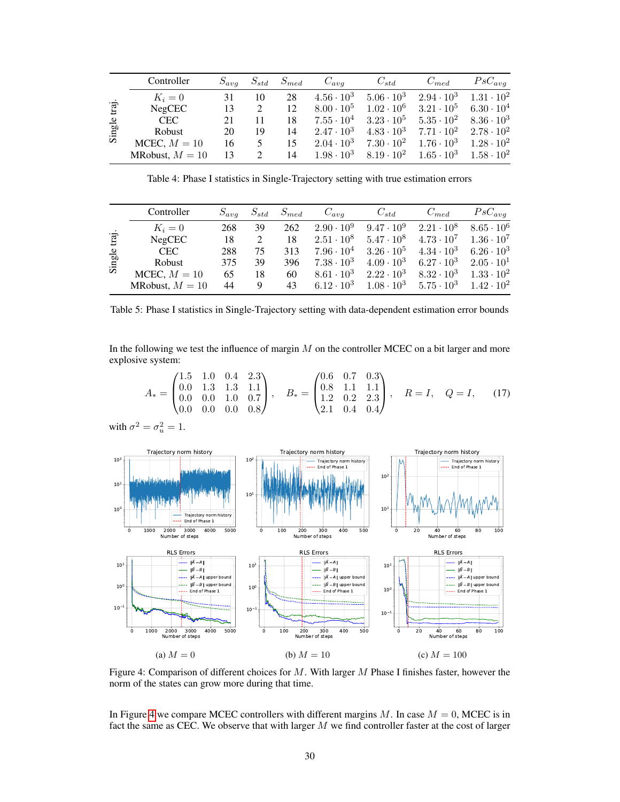|        | Controller        | $S_{avg}$ | $S_{std}$ | $S_{med}$ | $C_{avg}$           | $C_{std}$           | $C_{med}$           | $PsC_{ava}$         |
|--------|-------------------|-----------|-----------|-----------|---------------------|---------------------|---------------------|---------------------|
|        | $K_i=0$           | 31        | 10        | 28        | $4.56 \cdot 10^3$   | $5.06 \cdot 10^{3}$ | $2.94 \cdot 10^3$   | $1.31 \cdot 10^{2}$ |
| traj   | NegCEC            | 13        |           | 12        | $8.00 \cdot 10^{5}$ | $1.02 \cdot 10^{6}$ | $3.21 \cdot 10^5$   | $6.30 \cdot 10^{4}$ |
|        | <b>CEC</b>        | 21        | 11        | 18        | $7.55\cdot 10^4$    | $3.23\cdot 10^5$    | $5.35 \cdot 10^{2}$ | $8.36 \cdot 10^3$   |
| Single | <b>Robust</b>     | 20        | 19        | 14        | $2.47 \cdot 10^3$   | $4.83 \cdot 10^3$   | $7.71 \cdot 10^{2}$ | $2.78 \cdot 10^{2}$ |
|        | MCEC, $M = 10$    | 16        | 5         | 15        | $2.04 \cdot 10^3$   | $7.30 \cdot 10^{2}$ | $1.76 \cdot 10^3$   | $1.28 \cdot 10^{2}$ |
|        | MRobust, $M = 10$ | 13        | 2         | 14        | $1.98 \cdot 10^3$   | $8.19 \cdot 10^{2}$ | $1.65 \cdot 10^{3}$ | $1.58 \cdot 10^{2}$ |

Table 4: Phase I statistics in Single-Trajectory setting with true estimation errors

|        | Controller        | $S_{ava}$ | $S_{std}$ | $S_{med}$ | $C_{ava}$           | $C_{std}$           | $C_{med}$         | $PsC_{ava}$         |
|--------|-------------------|-----------|-----------|-----------|---------------------|---------------------|-------------------|---------------------|
|        | $K_i=0$           | 268       | 39        | 262       | $2.90 \cdot 10^9$   | $9.47 \cdot 10^{9}$ | $2.21 \cdot 10^8$ | $8.65 \cdot 10^6$   |
| traj   | NegCEC            | 18        |           | 18        | $2.51 \cdot 10^8$   | $5.47 \cdot 10^8$   | $4.73 \cdot 10^7$ | $1.36 \cdot 10^7$   |
|        | <b>CEC</b>        | 288       | 75        | 313       | $7.96 \cdot 10^{4}$ | $3.26 \cdot 10^5$   | $4.34 \cdot 10^3$ | $6.26 \cdot 10^3$   |
| Single | Robust            | 375       | 39        | 396       | $7.38 \cdot 10^3$   | $4.09 \cdot 10^3$   | $6.27 \cdot 10^3$ | $2.05 \cdot 10^{1}$ |
|        | MCEC, $M = 10$    | 65        | 18        | 60        | $8.61 \cdot 10^3$   | $2.22 \cdot 10^3$   | $8.32 \cdot 10^3$ | $1.33 \cdot 10^{2}$ |
|        | MRobust, $M = 10$ | 44        | 9         | 43        | $6.12 \cdot 10^3$   | $1.08 \cdot 10^3$   | $5.75 \cdot 10^3$ | $1.42 \cdot 10^{2}$ |

Table 5: Phase I statistics in Single-Trajectory setting with data-dependent estimation error bounds

In the following we test the influence of margin  $M$  on the controller MCEC on a bit larger and more explosive system:

$$
A_* = \begin{pmatrix} 1.5 & 1.0 & 0.4 & 2.3 \\ 0.0 & 1.3 & 1.3 & 1.1 \\ 0.0 & 0.0 & 1.0 & 0.7 \\ 0.0 & 0.0 & 0.0 & 0.8 \end{pmatrix}, \quad B_* = \begin{pmatrix} 0.6 & 0.7 & 0.3 \\ 0.8 & 1.1 & 1.1 \\ 1.2 & 0.2 & 2.3 \\ 2.1 & 0.4 & 0.4 \end{pmatrix}, \quad R = I, \quad Q = I, \quad (17)
$$

with 
$$
\sigma^2 = \sigma_u^2 = 1
$$
.

<span id="page-29-0"></span>

Figure 4: Comparison of different choices for M. With larger M Phase I finishes faster, however the norm of the states can grow more during that time.

In Figure [4](#page-29-0) we compare MCEC controllers with different margins  $M$ . In case  $M = 0$ , MCEC is in fact the same as CEC. We observe that with larger M we find controller faster at the cost of larger